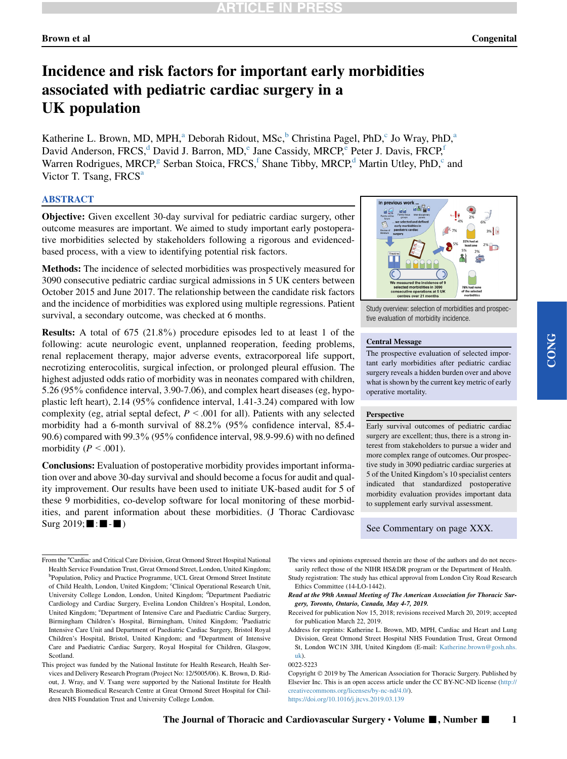# RTICLE IN PRE

## Brown et al Congenital

# Incidence and risk factors for important early morbidities associated with pediatric cardiac surgery in a UK population

Katherine L. Brown, MD, MPH,<sup>a</sup> Deborah Ridout, MSc,<sup>b</sup> Christina Pagel, PhD,<sup>c</sup> Jo Wray, PhD,<sup>a</sup> David Anderson, FRCS,<sup>d</sup> David J. Barron, MD,<sup>e</sup> Jane Cassidy, MRCP,<sup>e</sup> Peter J. Davis, FRCP,<sup>f</sup> Warren Rodrigues, MRCP,<sup>g</sup> Serban Stoica, FRCS,<sup>f</sup> Shane Tibby, MRCP,<sup>d</sup> Martin Utley, PhD,<sup>c</sup> and Victor T. Tsang, FRCS<sup>a</sup>

## ABSTRACT

Objective: Given excellent 30-day survival for pediatric cardiac surgery, other outcome measures are important. We aimed to study important early postoperative morbidities selected by stakeholders following a rigorous and evidencedbased process, with a view to identifying potential risk factors.

Methods: The incidence of selected morbidities was prospectively measured for 3090 consecutive pediatric cardiac surgical admissions in 5 UK centers between October 2015 and June 2017. The relationship between the candidate risk factors and the incidence of morbidities was explored using multiple regressions. Patient survival, a secondary outcome, was checked at 6 months.



Conclusions: Evaluation of postoperative morbidity provides important information over and above 30-day survival and should become a focus for audit and quality improvement. Our results have been used to initiate UK-based audit for 5 of these 9 morbidities, co-develop software for local monitoring of these morbidities, and parent information about these morbidities. (J Thorac Cardiovasc  $Surg 2019; \blacksquare : \blacksquare - \blacksquare)$ 



Study overview: selection of morbidities and prospective evaluation of morbidity incidence.

#### Central Message

The prospective evaluation of selected important early morbidities after pediatric cardiac surgery reveals a hidden burden over and above what is shown by the current key metric of early operative mortality.

#### **Perspective**

Early survival outcomes of pediatric cardiac surgery are excellent; thus, there is a strong interest from stakeholders to pursue a wider and more complex range of outcomes. Our prospective study in 3090 pediatric cardiac surgeries at 5 of the United Kingdom's 10 specialist centers indicated that standardized postoperative morbidity evaluation provides important data to supplement early survival assessment.

See Commentary on page XXX.

- Read at the 99th Annual Meeting of The American Association for Thoracic Surgery, Toronto, Ontario, Canada, May 4-7, 2019.
- Received for publication Nov 15, 2018; revisions received March 20, 2019; accepted for publication March 22, 2019.
- Address for reprints: Katherine L. Brown, MD, MPH, Cardiac and Heart and Lung Division, Great Ormond Street Hospital NHS Foundation Trust, Great Ormond St, London WC1N 3JH, United Kingdom (E-mail: [Katherine.brown@gosh.nhs.](mailto:Katherine.brown@gosh.nhs.uk) [uk](mailto:Katherine.brown@gosh.nhs.uk)).

The Journal of Thoracic and Cardiovascular Surgery  $\cdot$  Volume  $\blacksquare$ , Number  $\blacksquare$ 

From the <sup>a</sup>Cardiac and Critical Care Division, Great Ormond Street Hospital National Health Service Foundation Trust, Great Ormond Street, London, United Kingdom; <sup>b</sup>Population, Policy and Practice Programme, UCL Great Ormond Street Institute of Child Health, London, United Kingdom; Clinical Operational Research Unit, University College London, London, United Kingdom; <sup>d</sup>Department Paediatric Cardiology and Cardiac Surgery, Evelina London Children's Hospital, London, United Kingdom; <sup>e</sup>Department of Intensive Care and Paediatric Cardiac Surgery, Birmingham Children's Hospital, Birmingham, United Kingdom; <sup>f</sup>Paediatric Intensive Care Unit and Department of Paediatric Cardiac Surgery, Bristol Royal Children's Hospital, Bristol, United Kingdom; and <sup>g</sup>Department of Intensive Care and Paediatric Cardiac Surgery, Royal Hospital for Children, Glasgow, Scotland.

This project was funded by the National Institute for Health Research, Health Services and Delivery Research Program (Project No: 12/5005/06). K. Brown, D. Ridout, J. Wray, and V. Tsang were supported by the National Institute for Health Research Biomedical Research Centre at Great Ormond Street Hospital for Children NHS Foundation Trust and University College London.

The views and opinions expressed therein are those of the authors and do not necessarily reflect those of the NIHR HS&DR program or the Department of Health.

Study registration: The study has ethical approval from London City Road Research Ethics Committee (14-LO-1442).

<sup>0022-5223</sup>

Copyright  $\odot$  2019 by The American Association for Thoracic Surgery. Published by Elsevier Inc. This is an open access article under the CC BY-NC-ND license ([http://](http://creativecommons.org/licenses/by-nc-nd/4.0/) [creativecommons.org/licenses/by-nc-nd/4.0/\)](http://creativecommons.org/licenses/by-nc-nd/4.0/). <https://doi.org/10.1016/j.jtcvs.2019.03.139>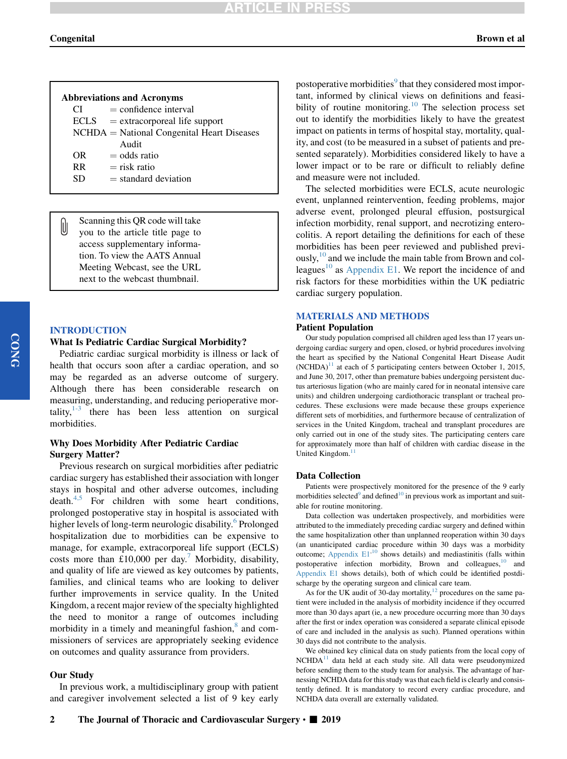# Abbreviations and Acronyms

| CI        | $=$ confidence interval                      |
|-----------|----------------------------------------------|
|           | $\text{ECLS}$ = extracorporeal life support  |
|           | $NCHDA = National Congenital Heart Diseases$ |
|           | Audit                                        |
| OR.       | $=$ odds ratio                               |
| <b>RR</b> | $=$ risk ratio                               |
| SD        | $=$ standard deviation                       |
|           |                                              |

Scanning this QR code will take you to the article title page to access supplementary information. To view the AATS Annual Meeting Webcast, see the URL next to the webcast thumbnail.

### INTRODUCTION

### What Is Pediatric Cardiac Surgical Morbidity?

Pediatric cardiac surgical morbidity is illness or lack of health that occurs soon after a cardiac operation, and so may be regarded as an adverse outcome of surgery. Although there has been considerable research on measuring, understanding, and reducing perioperative mortality, $1-3$  there has been less attention on surgical morbidities.

## Why Does Morbidity After Pediatric Cardiac Surgery Matter?

Previous research on surgical morbidities after pediatric cardiac surgery has established their association with longer stays in hospital and other adverse outcomes, including death.[4,5](#page-9-0) For children with some heart conditions, prolonged postoperative stay in hospital is associated with higher levels of long-term neurologic disability.<sup>[6](#page-10-0)</sup> Prolonged hospitalization due to morbidities can be expensive to manage, for example, extracorporeal life support (ECLS) costs more than £10,000 per day.<sup>[7](#page-10-0)</sup> Morbidity, disability, and quality of life are viewed as key outcomes by patients, families, and clinical teams who are looking to deliver further improvements in service quality. In the United Kingdom, a recent major review of the specialty highlighted the need to monitor a range of outcomes including morbidity in a timely and meaningful fashion, $\delta$  and commissioners of services are appropriately seeking evidence on outcomes and quality assurance from providers.

### Our Study

In previous work, a multidisciplinary group with patient and caregiver involvement selected a list of 9 key early

postoperative morbidities<sup>[9](#page-10-0)</sup> that they considered most important, informed by clinical views on definitions and feasi-bility of routine monitoring.<sup>[10](#page-10-0)</sup> The selection process set out to identify the morbidities likely to have the greatest impact on patients in terms of hospital stay, mortality, quality, and cost (to be measured in a subset of patients and presented separately). Morbidities considered likely to have a lower impact or to be rare or difficult to reliably define and measure were not included.

The selected morbidities were ECLS, acute neurologic event, unplanned reintervention, feeding problems, major adverse event, prolonged pleural effusion, postsurgical infection morbidity, renal support, and necrotizing enterocolitis. A report detailing the definitions for each of these morbidities has been peer reviewed and published previously,  $10^{\circ}$  $10^{\circ}$  and we include the main table from Brown and col-leagues<sup>[10](#page-10-0)</sup> as [Appendix E1.](#page-12-0) We report the incidence of and risk factors for these morbidities within the UK pediatric cardiac surgery population.

#### MATERIALS AND METHODS

#### Patient Population

Our study population comprised all children aged less than 17 years undergoing cardiac surgery and open, closed, or hybrid procedures involving the heart as specified by the National Congenital Heart Disease Audit  $(NCHDA)^{11}$  $(NCHDA)^{11}$  $(NCHDA)^{11}$  at each of 5 participating centers between October 1, 2015, and June 30, 2017, other than premature babies undergoing persistent ductus arteriosus ligation (who are mainly cared for in neonatal intensive care units) and children undergoing cardiothoracic transplant or tracheal procedures. These exclusions were made because these groups experience different sets of morbidities, and furthermore because of centralization of services in the United Kingdom, tracheal and transplant procedures are only carried out in one of the study sites. The participating centers care for approximately more than half of children with cardiac disease in the United Kingdom.<sup>11</sup>

#### Data Collection

Patients were prospectively monitored for the presence of the 9 early morbidities selected<sup>9</sup> and defined<sup>[10](#page-10-0)</sup> in previous work as important and suitable for routine monitoring.

Data collection was undertaken prospectively, and morbidities were attributed to the immediately preceding cardiac surgery and defined within the same hospitalization other than unplanned reoperation within 30 days (an unanticipated cardiac procedure within 30 days was a morbidity outcome; Appendix  $E1^{10}$  $E1^{10}$  $E1^{10}$  shows details) and mediastinitis (falls within postoperative infection morbidity, Brown and colleagues,<sup>[10](#page-10-0)</sup> and [Appendix E1](#page-12-0) shows details), both of which could be identified postdischarge by the operating surgeon and clinical care team.

As for the UK audit of 30-day mortality, $12$  procedures on the same patient were included in the analysis of morbidity incidence if they occurred more than 30 days apart (ie, a new procedure occurring more than 30 days after the first or index operation was considered a separate clinical episode of care and included in the analysis as such). Planned operations within 30 days did not contribute to the analysis.

We obtained key clinical data on study patients from the local copy of  $NCHDA<sup>11</sup>$  $NCHDA<sup>11</sup>$  $NCHDA<sup>11</sup>$  data held at each study site. All data were pseudonymized before sending them to the study team for analysis. The advantage of harnessing NCHDA data for this study was that each field is clearly and consistently defined. It is mandatory to record every cardiac procedure, and NCHDA data overall are externally validated.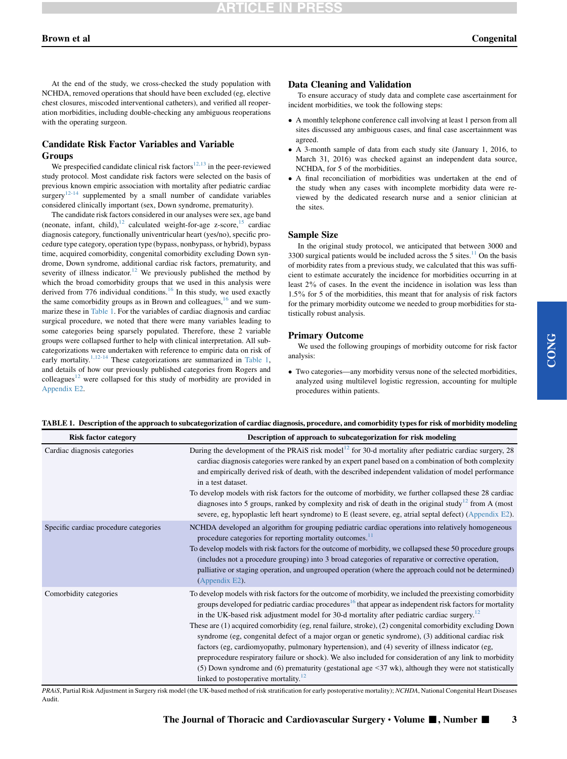At the end of the study, we cross-checked the study population with NCHDA, removed operations that should have been excluded (eg, elective chest closures, miscoded interventional catheters), and verified all reoperation morbidities, including double-checking any ambiguous reoperations with the operating surgeon.

# Candidate Risk Factor Variables and Variable Groups

We prespecified candidate clinical risk factors $12,13$  in the peer-reviewed study protocol. Most candidate risk factors were selected on the basis of previous known empiric association with mortality after pediatric cardiac surgery<sup>[12-14](#page-10-0)</sup> supplemented by a small number of candidate variables considered clinically important (sex, Down syndrome, prematurity).

The candidate risk factors considered in our analyses were sex, age band (neonate, infant, child), $12$  calculated weight-for-age z-score, $15$  cardiac diagnosis category, functionally univentricular heart (yes/no), specific procedure type category, operation type (bypass, nonbypass, or hybrid), bypass time, acquired comorbidity, congenital comorbidity excluding Down syndrome, Down syndrome, additional cardiac risk factors, prematurity, and severity of illness indicator.<sup>[12](#page-10-0)</sup> We previously published the method by which the broad comorbidity groups that we used in this analysis were derived from 776 individual conditions.<sup>[16](#page-10-0)</sup> In this study, we used exactly the same comorbidity groups as in Brown and colleagues, $^{16}$  $^{16}$  $^{16}$  and we summarize these in Table 1. For the variables of cardiac diagnosis and cardiac surgical procedure, we noted that there were many variables leading to some categories being sparsely populated. Therefore, these 2 variable groups were collapsed further to help with clinical interpretation. All subcategorizations were undertaken with reference to empiric data on risk of early mortality.<sup>1,12-14</sup> These categorizations are summarized in Table 1, and details of how our previously published categories from Rogers and colleagues<sup>12</sup> were collapsed for this study of morbidity are provided in [Appendix E2.](#page-16-0)

#### Data Cleaning and Validation

To ensure accuracy of study data and complete case ascertainment for incident morbidities, we took the following steps:

- A monthly telephone conference call involving at least 1 person from all sites discussed any ambiguous cases, and final case ascertainment was agreed.
- A 3-month sample of data from each study site (January 1, 2016, to March 31, 2016) was checked against an independent data source, NCHDA, for 5 of the morbidities.
- A final reconciliation of morbidities was undertaken at the end of the study when any cases with incomplete morbidity data were reviewed by the dedicated research nurse and a senior clinician at the sites.

#### Sample Size

In the original study protocol, we anticipated that between 3000 and 3300 surgical patients would be included across the 5 sites.<sup>11</sup> On the basis of morbidity rates from a previous study, we calculated that this was sufficient to estimate accurately the incidence for morbidities occurring in at least 2% of cases. In the event the incidence in isolation was less than 1.5% for 5 of the morbidities, this meant that for analysis of risk factors for the primary morbidity outcome we needed to group morbidities for statistically robust analysis.

#### Primary Outcome

We used the following groupings of morbidity outcome for risk factor analysis:

- Two categories—any morbidity versus none of the selected morbidities, analyzed using multilevel logistic regression, accounting for multiple procedures within patients.

| <b>Risk factor category</b>           | Description of approach to subcategorization for risk modeling                                                                                                                                                                                                                                                                                                                                                                                                                                                                                                                                                                                                                                                                                                                                                                                                                                                                           |
|---------------------------------------|------------------------------------------------------------------------------------------------------------------------------------------------------------------------------------------------------------------------------------------------------------------------------------------------------------------------------------------------------------------------------------------------------------------------------------------------------------------------------------------------------------------------------------------------------------------------------------------------------------------------------------------------------------------------------------------------------------------------------------------------------------------------------------------------------------------------------------------------------------------------------------------------------------------------------------------|
| Cardiac diagnosis categories          | During the development of the PRAiS risk model <sup>12</sup> for 30-d mortality after pediatric cardiac surgery, 28<br>cardiac diagnosis categories were ranked by an expert panel based on a combination of both complexity<br>and empirically derived risk of death, with the described independent validation of model performance<br>in a test dataset.<br>To develop models with risk factors for the outcome of morbidity, we further collapsed these 28 cardiac                                                                                                                                                                                                                                                                                                                                                                                                                                                                   |
|                                       | diagnoses into 5 groups, ranked by complexity and risk of death in the original study $12$ from A (most<br>severe, eg, hypoplastic left heart syndrome) to E (least severe, eg, atrial septal defect) (Appendix E2).                                                                                                                                                                                                                                                                                                                                                                                                                                                                                                                                                                                                                                                                                                                     |
| Specific cardiac procedure categories | NCHDA developed an algorithm for grouping pediatric cardiac operations into relatively homogeneous<br>procedure categories for reporting mortality outcomes. <sup>11</sup><br>To develop models with risk factors for the outcome of morbidity, we collapsed these 50 procedure groups<br>(includes not a procedure grouping) into 3 broad categories of reparative or corrective operation,<br>palliative or staging operation, and ungrouped operation (where the approach could not be determined)<br>(Appendix E2).                                                                                                                                                                                                                                                                                                                                                                                                                  |
| Comorbidity categories                | To develop models with risk factors for the outcome of morbidity, we included the preexisting comorbidity<br>groups developed for pediatric cardiac procedures <sup>16</sup> that appear as independent risk factors for mortality<br>in the UK-based risk adjustment model for 30-d mortality after pediatric cardiac surgery. <sup>12</sup><br>These are (1) acquired comorbidity (eg, renal failure, stroke), (2) congenital comorbidity excluding Down<br>syndrome (eg, congenital defect of a major organ or genetic syndrome), (3) additional cardiac risk<br>factors (eg, cardiomyopathy, pulmonary hypertension), and (4) severity of illness indicator (eg,<br>preprocedure respiratory failure or shock). We also included for consideration of any link to morbidity<br>(5) Down syndrome and (6) prematurity (gestational age $\leq$ 37 wk), although they were not statistically<br>linked to postoperative mortality. $12$ |

TABLE 1. Description of the approach to subcategorization of cardiac diagnosis, procedure, and comorbidity types for risk of morbidity modeling

PRAiS, Partial Risk Adjustment in Surgery risk model (the UK-based method of risk stratification for early postoperative mortality); NCHDA, National Congenital Heart Diseases Audit.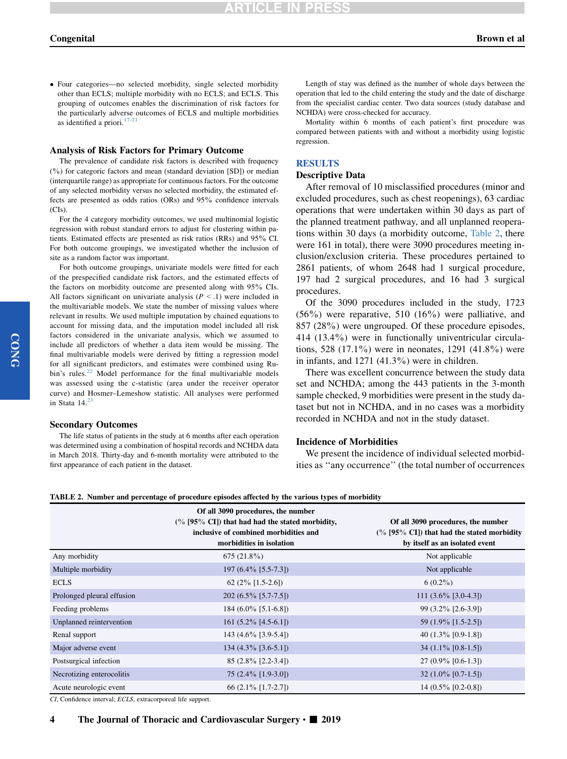<span id="page-3-0"></span>- Four categories—no selected morbidity, single selected morbidity other than ECLS; multiple morbidity with no ECLS; and ECLS. This grouping of outcomes enables the discrimination of risk factors for the particularly adverse outcomes of ECLS and multiple morbidities as identified a priori. $17-21$ 

#### Analysis of Risk Factors for Primary Outcome

The prevalence of candidate risk factors is described with frequency  $(\%)$  for categoric factors and mean (standard deviation [SD]) or median (interquartile range) as appropriate for continuous factors. For the outcome of any selected morbidity versus no selected morbidity, the estimated effects are presented as odds ratios (ORs) and 95% confidence intervals  $(CIs)$ .

For the 4 category morbidity outcomes, we used multinomial logistic regression with robust standard errors to adjust for clustering within patients. Estimated effects are presented as risk ratios (RRs) and 95% CI. For both outcome groupings, we investigated whether the inclusion of site as a random factor was important.

For both outcome groupings, univariate models were fitted for each of the prespecified candidate risk factors, and the estimated effects of the factors on morbidity outcome are presented along with 95% CIs. All factors significant on univariate analysis ( $P \le 1$ ) were included in the multivariable models. We state the number of missing values where relevant in results. We used multiple imputation by chained equations to account for missing data, and the imputation model included all risk factors considered in the univariate analysis, which we assumed to include all predictors of whether a data item would be missing. The final multivariable models were derived by fitting a regression model for all significant predictors, and estimates were combined using Ru-bin's rules.<sup>[22](#page-10-0)</sup> Model performance for the final multivariable models was assessed using the c-statistic (area under the receiver operator curve) and Hosmer–Lemeshow statistic. All analyses were performed in Stata  $14.23$  $14.23$ 

#### Secondary Outcomes

The life status of patients in the study at 6 months after each operation was determined using a combination of hospital records and NCHDA data in March 2018. Thirty-day and 6-month mortality were attributed to the first appearance of each patient in the dataset.

Length of stay was defined as the number of whole days between the operation that led to the child entering the study and the date of discharge from the specialist cardiac center. Two data sources (study database and NCHDA) were cross-checked for accuracy.

Mortality within 6 months of each patient's first procedure was compared between patients with and without a morbidity using logistic regression.

#### RESULTS

#### Descriptive Data

After removal of 10 misclassified procedures (minor and excluded procedures, such as chest reopenings), 63 cardiac operations that were undertaken within 30 days as part of the planned treatment pathway, and all unplanned reoperations within 30 days (a morbidity outcome, Table 2, there were 161 in total), there were 3090 procedures meeting inclusion/exclusion criteria. These procedures pertained to 2861 patients, of whom 2648 had 1 surgical procedure, 197 had 2 surgical procedures, and 16 had 3 surgical procedures.

Of the 3090 procedures included in the study, 1723 (56%) were reparative, 510 (16%) were palliative, and 857 (28%) were ungrouped. Of these procedure episodes, 414 (13.4%) were in functionally univentricular circulations, 528 (17.1%) were in neonates, 1291 (41.8%) were in infants, and  $1271$  (41.3%) were in children.

There was excellent concurrence between the study data set and NCHDA; among the 443 patients in the 3-month sample checked, 9 morbidities were present in the study dataset but not in NCHDA, and in no cases was a morbidity recorded in NCHDA and not in the study dataset.

#### Incidence of Morbidities

We present the incidence of individual selected morbidities as ''any occurrence'' (the total number of occurrences

| TABLE 2. Number and percentage of procedure episodes affected by the various types of morbidity |  |  |  |  |  |  |
|-------------------------------------------------------------------------------------------------|--|--|--|--|--|--|
|-------------------------------------------------------------------------------------------------|--|--|--|--|--|--|

|                            | Of all 3090 procedures, the number<br>(% [95% CI]) that had had the stated morbidity,<br>inclusive of combined morbidities and<br>morbidities in isolation | Of all 3090 procedures, the number<br>$(\%$ [95% CI]) that had the stated morbidity<br>by itself as an isolated event |
|----------------------------|------------------------------------------------------------------------------------------------------------------------------------------------------------|-----------------------------------------------------------------------------------------------------------------------|
| Any morbidity              | $675(21.8\%)$                                                                                                                                              | Not applicable                                                                                                        |
| Multiple morbidity         | $197(6.4\%$ [5.5-7.3])                                                                                                                                     | Not applicable                                                                                                        |
| <b>ECLS</b>                | 62 $(2\%$ [1.5-2.6])                                                                                                                                       | $6(0.2\%)$                                                                                                            |
| Prolonged pleural effusion | $202(6.5\%$ [5.7-7.5])                                                                                                                                     | 111 $(3.6\%$ [3.0-4.3])                                                                                               |
| Feeding problems           | $184(6.0\%$ [5.1-6.8])                                                                                                                                     | 99 (3.2% [2.6-3.9])                                                                                                   |
| Unplanned reintervention   | 161 $(5.2\%$ [4.5-6.1])                                                                                                                                    | 59 (1.9% [1.5-2.5])                                                                                                   |
| Renal support              | $143(4.6\%$ [3.9-5.4])                                                                                                                                     | 40 $(1.3\%$ [0.9-1.8])                                                                                                |
| Major adverse event        | $134(4.3\%$ [3.6-5.1])                                                                                                                                     | $34(1.1\% [0.8-1.5])$                                                                                                 |
| Postsurgical infection     | $85(2.8\%$ [2.2-3.4])                                                                                                                                      | $27(0.9\%~[0.6-1.3])$                                                                                                 |
| Necrotizing enterocolitis  | 75 $(2.4\%$ [1.9-3.0])                                                                                                                                     | $32(1.0\%$ [0.7-1.5])                                                                                                 |
| Acute neurologic event     | 66 $(2.1\%$ [1.7-2.7])                                                                                                                                     | $14(0.5\%$ [0.2-0.8])                                                                                                 |

CI, Confidence interval; ECLS, extracorporeal life support.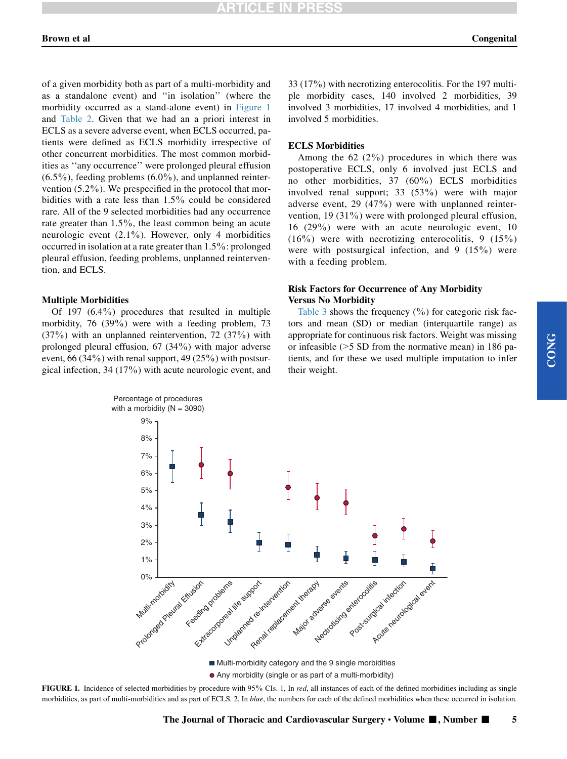of a given morbidity both as part of a multi-morbidity and as a standalone event) and ''in isolation'' (where the morbidity occurred as a stand-alone event) in Figure 1 and [Table 2.](#page-3-0) Given that we had an a priori interest in ECLS as a severe adverse event, when ECLS occurred, patients were defined as ECLS morbidity irrespective of other concurrent morbidities. The most common morbidities as ''any occurrence'' were prolonged pleural effusion  $(6.5\%)$ , feeding problems  $(6.0\%)$ , and unplanned reintervention (5.2%). We prespecified in the protocol that morbidities with a rate less than 1.5% could be considered rare. All of the 9 selected morbidities had any occurrence rate greater than 1.5%, the least common being an acute neurologic event  $(2.1\%)$ . However, only 4 morbidities occurred in isolation at a rate greater than 1.5%: prolonged pleural effusion, feeding problems, unplanned reintervention, and ECLS.

### Multiple Morbidities

Of 197 (6.4%) procedures that resulted in multiple morbidity, 76 (39%) were with a feeding problem, 73 (37%) with an unplanned reintervention, 72 (37%) with prolonged pleural effusion, 67 (34%) with major adverse event,  $66 (34\%)$  with renal support,  $49 (25\%)$  with postsurgical infection, 34 (17%) with acute neurologic event, and

33 (17%) with necrotizing enterocolitis. For the 197 multiple morbidity cases, 140 involved 2 morbidities, 39 involved 3 morbidities, 17 involved 4 morbidities, and 1 involved 5 morbidities.

### ECLS Morbidities

Among the  $62$   $(2\%)$  procedures in which there was postoperative ECLS, only 6 involved just ECLS and no other morbidities, 37 (60%) ECLS morbidities involved renal support; 33 (53%) were with major adverse event, 29 (47%) were with unplanned reintervention, 19 (31%) were with prolonged pleural effusion, 16 (29%) were with an acute neurologic event, 10  $(16\%)$  were with necrotizing enterocolitis, 9  $(15\%)$ were with postsurgical infection, and  $9(15\%)$  were with a feeding problem.

# Risk Factors for Occurrence of Any Morbidity Versus No Morbidity

[Table 3](#page-5-0) shows the frequency  $(\% )$  for categoric risk factors and mean (SD) or median (interquartile range) as appropriate for continuous risk factors. Weight was missing or infeasible (>5 SD from the normative mean) in 186 patients, and for these we used multiple imputation to infer their weight.



FIGURE 1. Incidence of selected morbidities by procedure with 95% CIs. 1, In red, all instances of each of the defined morbidities including as single morbidities, as part of multi-morbidities and as part of ECLS. 2, In blue, the numbers for each of the defined morbidities when these occurred in isolation.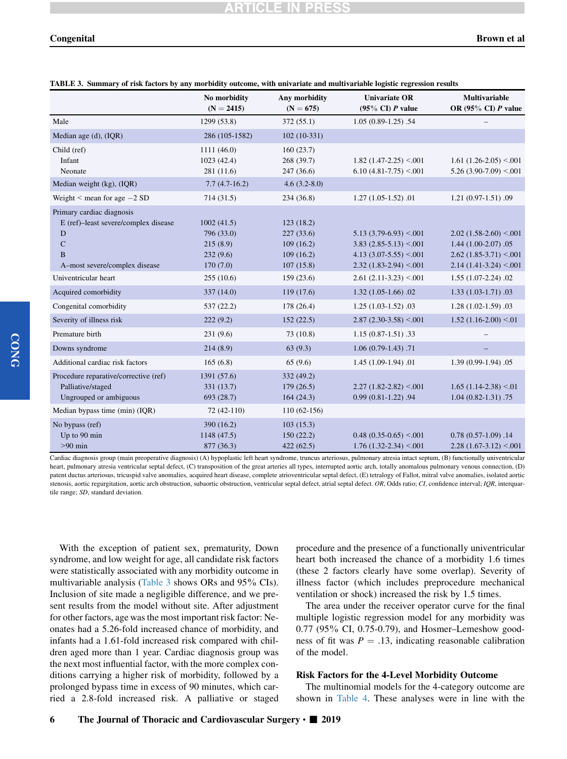|                                                                                                                                           | No morbidity<br>$(N = 2415)$                                 | Any morbidity<br>$(N = 675)$                                  | <b>Univariate OR</b><br>$(95\% \text{ CI})$ P value                                                                  | <b>Multivariable</b><br>OR $(95\%$ CI) P value                                                             |
|-------------------------------------------------------------------------------------------------------------------------------------------|--------------------------------------------------------------|---------------------------------------------------------------|----------------------------------------------------------------------------------------------------------------------|------------------------------------------------------------------------------------------------------------|
| Male                                                                                                                                      | 1299 (53.8)                                                  | 372(55.1)                                                     | $1.05(0.89-1.25)$ .54                                                                                                |                                                                                                            |
| Median age (d), (IQR)                                                                                                                     | 286 (105-1582)                                               | $102(10-331)$                                                 |                                                                                                                      |                                                                                                            |
| Child (ref)<br>Infant<br>Neonate                                                                                                          | 1111 (46.0)<br>1023 (42.4)<br>281(11.6)                      | 160(23.7)<br>268 (39.7)<br>247(36.6)                          | $1.82$ (1.47-2.25) < 001<br>$6.10(4.81-7.75) \le 0.001$                                                              | $1.61$ $(1.26-2.05) < 0.001$<br>$5.26(3.90-7.09) < 0.001$                                                  |
| Median weight (kg), (IQR)                                                                                                                 | $7.7(4.7-16.2)$                                              | $4.6(3.2-8.0)$                                                |                                                                                                                      |                                                                                                            |
| Weight $\leq$ mean for age $-2$ SD                                                                                                        | 714(31.5)                                                    | 234 (36.8)                                                    | $1.27(1.05-1.52).01$                                                                                                 | 1.21 (0.97-1.51) .09                                                                                       |
| Primary cardiac diagnosis<br>E (ref)-least severe/complex disease<br>D<br>$\mathsf{C}$<br>$\overline{B}$<br>A-most severe/complex disease | 1002(41.5)<br>796 (33.0)<br>215(8.9)<br>232(9.6)<br>170(7.0) | 123(18.2)<br>227(33.6)<br>109(16.2)<br>109(16.2)<br>107(15.8) | $5.13(3.79-6.93) < 0.01$<br>$3.83$ $(2.85-5.13) < .001$<br>$4.13(3.07 - 5.55) < 0.01$<br>$2.32(1.83-2.94) \le 0.001$ | $2.02$ (1.58-2.60) < 001<br>$1.44(1.00-2.07)$ .05<br>$2.62$ (1.85-3.71) < 001<br>$2.14(1.41-3.24) < 0.001$ |
| Univentricular heart                                                                                                                      | 255(10.6)                                                    | 159(23.6)                                                     | $2.61(2.11-3.23) < 0.001$                                                                                            | $1.55(1.07-2.24).02$                                                                                       |
| Acquired comorbidity                                                                                                                      | 337 (14.0)                                                   | 119(17.6)                                                     | $1.32(1.05-1.66).02$                                                                                                 | $1.33(1.03-1.71).03$                                                                                       |
| Congenital comorbidity                                                                                                                    | 537 (22.2)                                                   | 178(26.4)                                                     | $1.25(1.03-1.52).03$                                                                                                 | $1.28(1.02-1.59).03$                                                                                       |
| Severity of illness risk                                                                                                                  | 222(9.2)                                                     | 152(22.5)                                                     | $2.87(2.30-3.58) \le 0.001$                                                                                          | $1.52(1.16-2.00) \le 0.01$                                                                                 |
| Premature birth                                                                                                                           | 231(9.6)                                                     | 73(10.8)                                                      | $1.15(0.87-1.51).33$                                                                                                 |                                                                                                            |
| Downs syndrome                                                                                                                            | 214(8.9)                                                     | 63(9.3)                                                       | $1.06(0.79-1.43).71$                                                                                                 | $\overline{\phantom{0}}$                                                                                   |
| Additional cardiac risk factors                                                                                                           | 165(6.8)                                                     | 65(9.6)                                                       | 1.45 (1.09-1.94) .01                                                                                                 | 1.39 (0.99-1.94) .05                                                                                       |
| Procedure reparative/corrective (ref)<br>Palliative/staged<br>Ungrouped or ambiguous                                                      | 1391 (57.6)<br>331 (13.7)<br>693 (28.7)                      | 332 (49.2)<br>179(26.5)<br>164(24.3)                          | $2.27(1.82 - 2.82) \le 0.001$<br>$0.99(0.81 - 1.22)$ .94                                                             | $1.65(1.14-2.38) \le 0.01$<br>$1.04(0.82 - 1.31)$ .75                                                      |
| Median bypass time (min) (IQR)                                                                                                            | $72(42-110)$                                                 | $110(62-156)$                                                 |                                                                                                                      |                                                                                                            |
| No bypass (ref)<br>Up to 90 min<br>$>90$ min                                                                                              | 390 (16.2)<br>1148 (47.5)<br>877 (36.3)                      | 103(15.3)<br>150(22.2)<br>422(62.5)                           | $0.48(0.35-0.65) \le 0.001$<br>$1.76(1.32-2.34) \le 0.001$                                                           | $0.78(0.57-1.09)$ .14<br>$2.28(1.67-3.12) \le 0.001$                                                       |

#### <span id="page-5-0"></span>TABLE 3. Summary of risk factors by any morbidity outcome, with univariate and multivariable logistic regression results

Cardiac diagnosis group (main preoperative diagnosis) (A) hypoplastic left heart syndrome, truncus arteriosus, pulmonary atresia intact septum, (B) functionally univentricular heart, pulmonary atresia ventricular septal defect, (C) transposition of the great arteries all types, interrupted aortic arch, totally anomalous pulmonary venous connection, (D) patent ductus arteriosus, tricuspid valve anomalies, acquired heart disease, complete atrioventricular septal defect, (E) tetralogy of Fallot, mitral valve anomalies, isolated aortic stenosis, aortic regurgitation, aortic arch obstruction, subaortic obstruction, ventricular septal defect, atrial septal defect. OR, Odds ratio; CI, confidence interval; IQR, interquartile range; SD, standard deviation.

With the exception of patient sex, prematurity, Down syndrome, and low weight for age, all candidate risk factors were statistically associated with any morbidity outcome in multivariable analysis (Table 3 shows ORs and 95% CIs). Inclusion of site made a negligible difference, and we present results from the model without site. After adjustment for other factors, age was the most important risk factor: Neonates had a 5.26-fold increased chance of morbidity, and infants had a 1.61-fold increased risk compared with children aged more than 1 year. Cardiac diagnosis group was the next most influential factor, with the more complex conditions carrying a higher risk of morbidity, followed by a prolonged bypass time in excess of 90 minutes, which carried a 2.8-fold increased risk. A palliative or staged

procedure and the presence of a functionally univentricular heart both increased the chance of a morbidity 1.6 times (these 2 factors clearly have some overlap). Severity of illness factor (which includes preprocedure mechanical ventilation or shock) increased the risk by 1.5 times.

The area under the receiver operator curve for the final multiple logistic regression model for any morbidity was 0.77 (95% CI, 0.75-0.79), and Hosmer–Lemeshow goodness of fit was  $P = .13$ , indicating reasonable calibration of the model.

## Risk Factors for the 4-Level Morbidity Outcome

The multinomial models for the 4-category outcome are shown in [Table 4](#page-6-0). These analyses were in line with the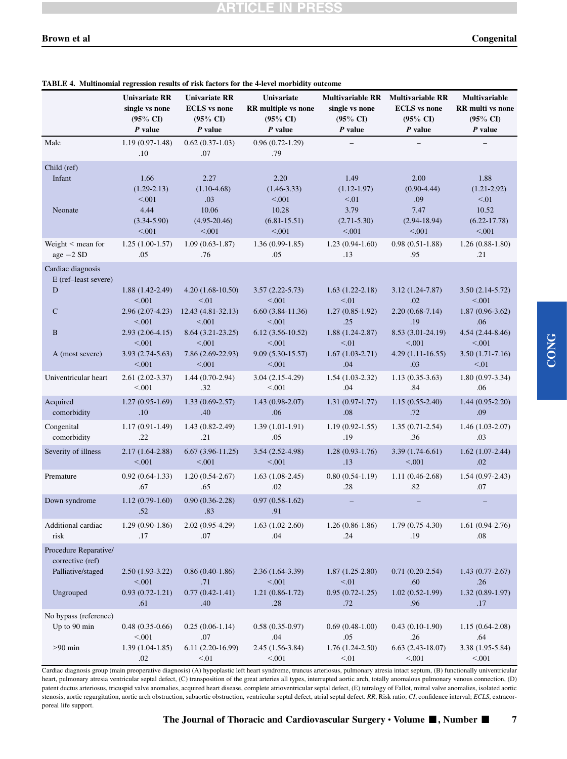# **ITICLE IN P**

## <span id="page-6-0"></span>Brown et al Congenital

|                                  | 0<br>Univariate RR<br>single vs none<br>$(95\% \text{ CI})$<br>P value   | <b>Univariate RR</b><br><b>ECLS</b> vs none<br>$(95\% \; \text{CI})$<br>P value | Univariate<br><b>RR</b> multiple vs none<br>$(95\% \text{ CI})$<br>P value | single vs none<br>$(95\% \text{ CI})$<br>P value                        | Multivariable RR Multivariable RR<br><b>ECLS</b> vs none<br>$(95\% \text{ CI})$<br>P value | Multivariable<br><b>RR</b> multi vs none<br>$(95\% \text{ CI})$<br>P value |
|----------------------------------|--------------------------------------------------------------------------|---------------------------------------------------------------------------------|----------------------------------------------------------------------------|-------------------------------------------------------------------------|--------------------------------------------------------------------------------------------|----------------------------------------------------------------------------|
| Male                             | $1.19(0.97-1.48)$<br>.10                                                 | $0.62(0.37-1.03)$<br>.07                                                        | $0.96(0.72-1.29)$<br>.79                                                   |                                                                         |                                                                                            |                                                                            |
| Child (ref)<br>Infant<br>Neonate | 1.66<br>$(1.29 - 2.13)$<br>< 0.001<br>4.44<br>$(3.34 - 5.90)$<br>< 0.001 | 2.27<br>$(1.10-4.68)$<br>.03<br>10.06<br>$(4.95 - 20.46)$<br>< 0.001            | 2.20<br>$(1.46 - 3.33)$<br>< 0.01<br>10.28<br>$(6.81 - 15.51)$<br>< 0.01   | 1.49<br>$(1.12 - 1.97)$<br>< 0.01<br>3.79<br>$(2.71 - 5.30)$<br>< 0.001 | 2.00<br>$(0.90-4.44)$<br>.09<br>7.47<br>$(2.94-18.94)$<br>< 0.001                          | 1.88<br>$(1.21 - 2.92)$<br>< 0.01<br>10.52<br>$(6.22 - 17.78)$<br>< 0.001  |
| Weight $\leq$ mean for           | $1.25(1.00-1.57)$                                                        | $1.09(0.63-1.87)$                                                               | $1.36(0.99-1.85)$                                                          | $1.23(0.94-1.60)$                                                       | $0.98(0.51-1.88)$                                                                          | $1.26(0.88-1.80)$                                                          |
| age $-2$ SD                      | .05                                                                      | .76                                                                             | .05                                                                        | .13                                                                     | .95                                                                                        | .21                                                                        |
| Cardiac diagnosis                | 1.88 (1.42-2.49)                                                         | $4.20(1.68-10.50)$                                                              | $3.57(2.22 - 5.73)$                                                        | $1.63(1.22-2.18)$                                                       | $3.12(1.24 - 7.87)$                                                                        | $3.50(2.14-5.72)$                                                          |
| E (ref-least severe)             | < 0.001                                                                  | < 0.01                                                                          | < 0.01                                                                     | < 0.01                                                                  | .02                                                                                        | < 0.001                                                                    |
| D                                | $2.96(2.07-4.23)$                                                        | 12.43 (4.81-32.13)                                                              | $6.60(3.84-11.36)$                                                         | $1.27(0.85-1.92)$                                                       | $2.20(0.68-7.14)$                                                                          | $1.87(0.96-3.62)$                                                          |
| $\mathsf{C}$                     | < 0.001                                                                  | < 0.001                                                                         | < 0.001                                                                    | .25                                                                     | .19                                                                                        | .06                                                                        |
| B<br>A (most severe)             | $2.93(2.06-4.15)$<br>< 0.001<br>$3.93(2.74-5.63)$<br>< 0.001             | 8.64 (3.21-23.25)<br>< 0.001<br>7.86 (2.69-22.93)<br>< 0.001                    | $6.12(3.56-10.52)$<br>< 0.001<br>$9.09(5.30-15.57)$<br>< 0.001             | 1.88 (1.24-2.87)<br>< 0.01<br>$1.67(1.03-2.71)$<br>.04                  | 8.53 (3.01-24.19)<br>< 0.001<br>$4.29(1.11-16.55)$<br>.03                                  | $4.54(2.44-8.46)$<br>< 0.001<br>$3.50(1.71 - 7.16)$<br>< 0.01              |
| Univentricular heart             | $2.61(2.02-3.37)$                                                        | $1.44(0.70-2.94)$                                                               | $3.04(2.15-4.29)$                                                          | $1.54(1.03-2.32)$                                                       | $1.13(0.35-3.63)$                                                                          | $1.80(0.97-3.34)$                                                          |
|                                  | < 0.01                                                                   | .32                                                                             | < 0.001                                                                    | .04                                                                     | .84                                                                                        | .06                                                                        |
| Acquired                         | $1.27(0.95-1.69)$                                                        | $1.33(0.69-2.57)$                                                               | $1.43(0.98-2.07)$                                                          | $1.31(0.97-1.77)$                                                       | $1.15(0.55-2.40)$                                                                          | $1.44(0.95-2.20)$                                                          |
| comorbidity                      | .10                                                                      | .40                                                                             | .06                                                                        | .08                                                                     | .72                                                                                        | .09                                                                        |
| Congenital                       | $1.17(0.91-1.49)$                                                        | 1.43 (0.82-2.49)                                                                | $1.39(1.01-1.91)$                                                          | $1.19(0.92 - 1.55)$                                                     | $1.35(0.71-2.54)$                                                                          | $1.46(1.03-2.07)$                                                          |
| comorbidity                      | .22                                                                      | .21                                                                             | .05                                                                        | .19                                                                     | .36                                                                                        | .03                                                                        |
| Severity of illness              | $2.17(1.64 - 2.88)$                                                      | $6.67(3.96-11.25)$                                                              | $3.54(2.52 - 4.98)$                                                        | $1.28(0.93-1.76)$                                                       | $3.39(1.74-6.61)$                                                                          | $1.62(1.07-2.44)$                                                          |
|                                  | < 0.001                                                                  | < 0.001                                                                         | < 0.001                                                                    | .13                                                                     | < 0.001                                                                                    | .02                                                                        |
| Premature                        | $0.92(0.64-1.33)$                                                        | $1.20(0.54-2.67)$                                                               | $1.63(1.08-2.45)$                                                          | $0.80(0.54-1.19)$                                                       | $1.11(0.46-2.68)$                                                                          | $1.54(0.97-2.43)$                                                          |
|                                  | .67                                                                      | .65                                                                             | .02                                                                        | .28                                                                     | .82                                                                                        | .07                                                                        |
| Down syndrome                    | $1.12(0.79-1.60)$<br>.52                                                 | $0.90(0.36-2.28)$<br>.83                                                        | $0.97(0.58-1.62)$<br>.91                                                   |                                                                         |                                                                                            |                                                                            |
| Additional cardiac               | $1.29(0.90-1.86)$                                                        | 2.02 (0.95-4.29)                                                                | $1.63(1.02-2.60)$                                                          | $1.26(0.86-1.86)$                                                       | $1.79(0.75-4.30)$                                                                          | $1.61(0.94-2.76)$                                                          |
| risk                             | .17                                                                      | .07                                                                             | .04                                                                        | .24                                                                     | .19                                                                                        | .08                                                                        |
| Procedure Reparative/            | $2.50(1.93-3.22)$                                                        | $0.86(0.40-1.86)$                                                               | $2.36(1.64-3.39)$                                                          | $1.87(1.25-2.80)$                                                       | $0.71(0.20-2.54)$                                                                          | $1.43(0.77-2.67)$                                                          |
| corrective (ref)                 | < 0.001                                                                  | .71                                                                             | < 0.001                                                                    | < 01                                                                    | .60                                                                                        | .26                                                                        |
| Palliative/staged                | $0.93(0.72 - 1.21)$                                                      | $0.77(0.42 - 1.41)$                                                             | $1.21(0.86-1.72)$                                                          | $0.95(0.72-1.25)$                                                       | $1.02(0.52-1.99)$                                                                          | $1.32(0.89-1.97)$                                                          |
| Ungrouped                        | .61                                                                      | .40                                                                             | .28                                                                        | .72                                                                     | .96                                                                                        | .17                                                                        |
| No bypass (reference)            |                                                                          |                                                                                 |                                                                            |                                                                         |                                                                                            |                                                                            |
| Up to 90 min<br>$>90$ min        | $0.48(0.35-0.66)$<br>< .001<br>$1.39(1.04-1.85)$<br>.02                  | $0.25(0.06-1.14)$<br>.07<br>$6.11(2.20-16.99)$<br>< 01                          | $0.58(0.35-0.97)$<br>.04<br>2.45 (1.56-3.84)<br>< 0.001                    | $0.69(0.48-1.00)$<br>.05<br>$1.76(1.24-2.50)$<br>< 01                   | $0.43(0.10-1.90)$<br>.26<br>$6.63(2.43-18.07)$<br>< 0.001                                  | $1.15(0.64-2.08)$<br>.64<br>3.38 (1.95-5.84)<br>< 0.001                    |

#### TABLE 4. Multinomial regression results of risk factors for the 4-level morbidity outcome

Cardiac diagnosis group (main preoperative diagnosis) (A) hypoplastic left heart syndrome, truncus arteriosus, pulmonary atresia intact septum, (B) functionally univentricular heart, pulmonary atresia ventricular septal defect, (C) transposition of the great arteries all types, interrupted aortic arch, totally anomalous pulmonary venous connection, (D) patent ductus arteriosus, tricuspid valve anomalies, acquired heart disease, complete atrioventricular septal defect, (E) tetralogy of Fallot, mitral valve anomalies, isolated aortic stenosis, aortic regurgitation, aortic arch obstruction, subaortic obstruction, ventricular septal defect, atrial septal defect. RR, Risk ratio; CI, confidence interval; ECLS, extracorporeal life support.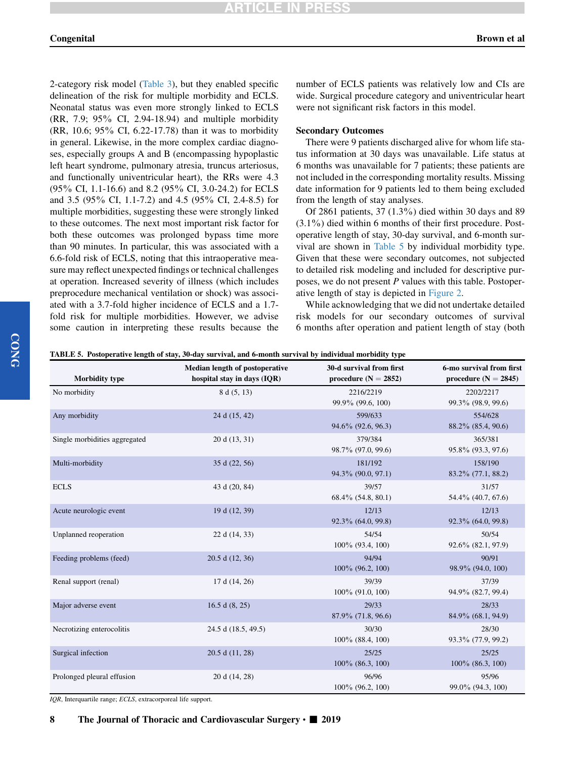2-category risk model [\(Table 3](#page-5-0)), but they enabled specific delineation of the risk for multiple morbidity and ECLS. Neonatal status was even more strongly linked to ECLS (RR, 7.9; 95% CI, 2.94-18.94) and multiple morbidity (RR, 10.6; 95% CI, 6.22-17.78) than it was to morbidity in general. Likewise, in the more complex cardiac diagnoses, especially groups A and B (encompassing hypoplastic left heart syndrome, pulmonary atresia, truncus arteriosus, and functionally univentricular heart), the RRs were 4.3 (95% CI, 1.1-16.6) and 8.2 (95% CI, 3.0-24.2) for ECLS and 3.5 (95% CI, 1.1-7.2) and 4.5 (95% CI, 2.4-8.5) for multiple morbidities, suggesting these were strongly linked to these outcomes. The next most important risk factor for both these outcomes was prolonged bypass time more than 90 minutes. In particular, this was associated with a 6.6-fold risk of ECLS, noting that this intraoperative measure may reflect unexpected findings or technical challenges at operation. Increased severity of illness (which includes preprocedure mechanical ventilation or shock) was associated with a 3.7-fold higher incidence of ECLS and a 1.7 fold risk for multiple morbidities. However, we advise some caution in interpreting these results because the number of ECLS patients was relatively low and CIs are wide. Surgical procedure category and univentricular heart were not significant risk factors in this model.

## Secondary Outcomes

There were 9 patients discharged alive for whom life status information at 30 days was unavailable. Life status at 6 months was unavailable for 7 patients; these patients are not included in the corresponding mortality results. Missing date information for 9 patients led to them being excluded from the length of stay analyses.

Of 2861 patients, 37 (1.3%) died within 30 days and 89 (3.1%) died within 6 months of their first procedure. Postoperative length of stay, 30-day survival, and 6-month survival are shown in Table 5 by individual morbidity type. Given that these were secondary outcomes, not subjected to detailed risk modeling and included for descriptive purposes, we do not present  $P$  values with this table. Postoperative length of stay is depicted in [Figure 2](#page-8-0).

While acknowledging that we did not undertake detailed risk models for our secondary outcomes of survival 6 months after operation and patient length of stay (both

|  |  | TABLE 5. Postoperative length of stay, 30-day survival, and 6-month survival by individual morbidity type |
|--|--|-----------------------------------------------------------------------------------------------------------|
|  |  |                                                                                                           |

| <b>Morbidity type</b>         | Median length of postoperative<br>hospital stay in days (IQR) | 30-d survival from first<br>procedure $(N = 2852)$ | 6-mo survival from first<br>procedure $(N = 2845)$ |
|-------------------------------|---------------------------------------------------------------|----------------------------------------------------|----------------------------------------------------|
| No morbidity                  | 8 d (5, 13)                                                   | 2216/2219<br>99.9% (99.6, 100)                     | 2202/2217<br>99.3% (98.9, 99.6)                    |
| Any morbidity                 | 24 d (15, 42)                                                 | 599/633<br>94.6% (92.6, 96.3)                      | 554/628<br>88.2% (85.4, 90.6)                      |
| Single morbidities aggregated | 20 d (13, 31)                                                 | 379/384<br>98.7% (97.0, 99.6)                      | 365/381<br>95.8% (93.3, 97.6)                      |
| Multi-morbidity               | 35 d (22, 56)                                                 | 181/192<br>94.3% (90.0, 97.1)                      | 158/190<br>83.2% (77.1, 88.2)                      |
| <b>ECLS</b>                   | 43 d (20, 84)                                                 | 39/57<br>$68.4\%$ $(54.8, 80.1)$                   | 31/57<br>54.4% (40.7, 67.6)                        |
| Acute neurologic event        | 19 d (12, 39)                                                 | 12/13<br>92.3% (64.0, 99.8)                        | 12/13<br>92.3% (64.0, 99.8)                        |
| Unplanned reoperation         | 22 d (14, 33)                                                 | 54/54<br>$100\%$ (93.4, 100)                       | 50/54<br>92.6% (82.1, 97.9)                        |
| Feeding problems (feed)       | 20.5 d (12, 36)                                               | 94/94<br>100% (96.2, 100)                          | 90/91<br>98.9% (94.0, 100)                         |
| Renal support (renal)         | 17 d (14, 26)                                                 | 39/39<br>100% (91.0, 100)                          | 37/39<br>94.9% (82.7, 99.4)                        |
| Major adverse event           | 16.5 d $(8, 25)$                                              | 29/33<br>87.9% (71.8, 96.6)                        | 28/33<br>84.9% (68.1, 94.9)                        |
| Necrotizing enterocolitis     | 24.5 d (18.5, 49.5)                                           | 30/30<br>$100\%$ (88.4, 100)                       | 28/30<br>93.3% (77.9, 99.2)                        |
| Surgical infection            | 20.5 d(11, 28)                                                | 25/25<br>$100\%$ (86.3, 100)                       | 25/25<br>$100\%$ (86.3, 100)                       |
| Prolonged pleural effusion    | 20 d (14, 28)                                                 | 96/96<br>100% (96.2, 100)                          | 95/96<br>99.0% (94.3, 100)                         |

IQR, Interquartile range; ECLS, extracorporeal life support.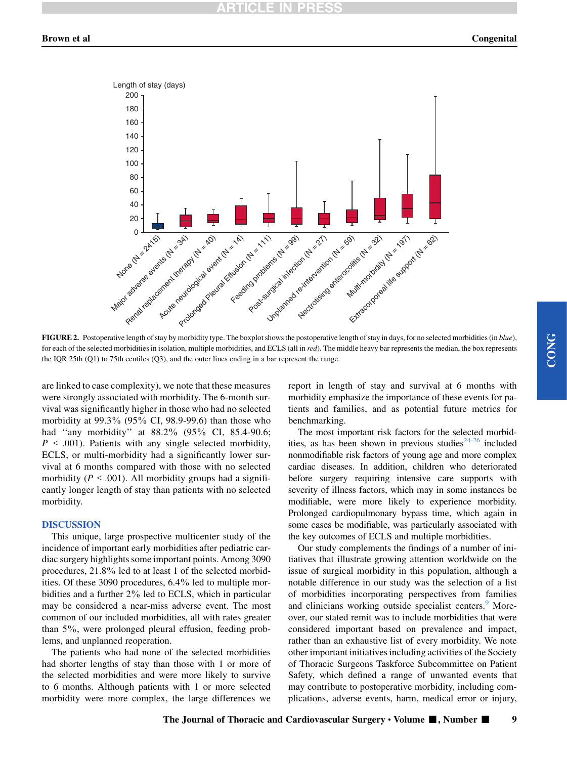<span id="page-8-0"></span>

FIGURE 2. Postoperative length of stay by morbidity type. The boxplot shows the postoperative length of stay in days, for no selected morbidities (in blue), for each of the selected morbidities in isolation, multiple morbidities, and ECLS (all in red). The middle heavy bar represents the median, the box represents the IQR 25th (Q1) to 75th centiles (Q3), and the outer lines ending in a bar represent the range.

are linked to case complexity), we note that these measures were strongly associated with morbidity. The 6-month survival was significantly higher in those who had no selected morbidity at 99.3% (95% CI, 98.9-99.6) than those who had "any morbidity" at 88.2% (95% CI, 85.4-90.6;  $P < .001$ ). Patients with any single selected morbidity, ECLS, or multi-morbidity had a significantly lower survival at 6 months compared with those with no selected morbidity ( $P < .001$ ). All morbidity groups had a significantly longer length of stay than patients with no selected morbidity.

### DISCUSSION

This unique, large prospective multicenter study of the incidence of important early morbidities after pediatric cardiac surgery highlights some important points. Among 3090 procedures, 21.8% led to at least 1 of the selected morbidities. Of these 3090 procedures, 6.4% led to multiple morbidities and a further 2% led to ECLS, which in particular may be considered a near-miss adverse event. The most common of our included morbidities, all with rates greater than 5%, were prolonged pleural effusion, feeding problems, and unplanned reoperation.

The patients who had none of the selected morbidities had shorter lengths of stay than those with 1 or more of the selected morbidities and were more likely to survive to 6 months. Although patients with 1 or more selected morbidity were more complex, the large differences we

report in length of stay and survival at 6 months with morbidity emphasize the importance of these events for patients and families, and as potential future metrics for benchmarking.

The most important risk factors for the selected morbidities, as has been shown in previous studies $24-26$  included nonmodifiable risk factors of young age and more complex cardiac diseases. In addition, children who deteriorated before surgery requiring intensive care supports with severity of illness factors, which may in some instances be modifiable, were more likely to experience morbidity. Prolonged cardiopulmonary bypass time, which again in some cases be modifiable, was particularly associated with the key outcomes of ECLS and multiple morbidities.

Our study complements the findings of a number of initiatives that illustrate growing attention worldwide on the issue of surgical morbidity in this population, although a notable difference in our study was the selection of a list of morbidities incorporating perspectives from families and clinicians working outside specialist centers.<sup>[9](#page-10-0)</sup> Moreover, our stated remit was to include morbidities that were considered important based on prevalence and impact, rather than an exhaustive list of every morbidity. We note other important initiatives including activities of the Society of Thoracic Surgeons Taskforce Subcommittee on Patient Safety, which defined a range of unwanted events that may contribute to postoperative morbidity, including complications, adverse events, harm, medical error or injury,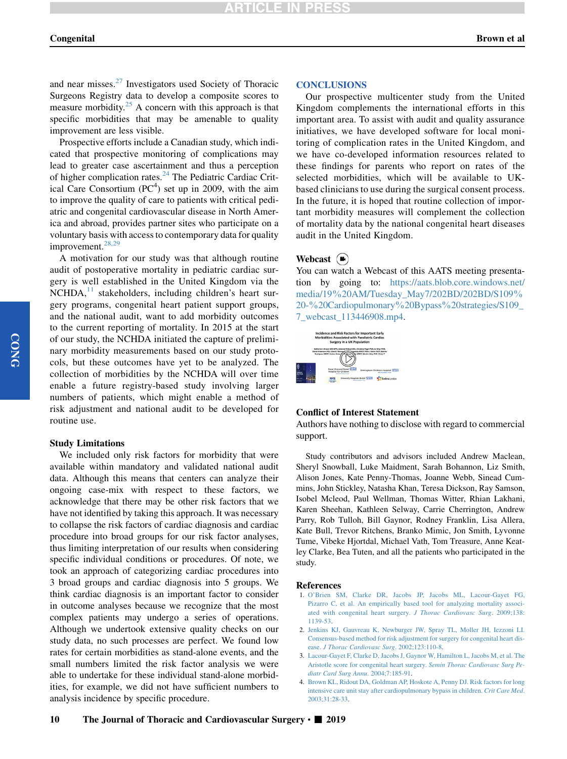<span id="page-9-0"></span>and near misses. $27$  Investigators used Society of Thoracic Surgeons Registry data to develop a composite scores to measure morbidity. $25$  A concern with this approach is that specific morbidities that may be amenable to quality improvement are less visible.

Prospective efforts include a Canadian study, which indicated that prospective monitoring of complications may lead to greater case ascertainment and thus a perception of higher complication rates.[24](#page-10-0) The Pediatric Cardiac Critical Care Consortium  $(PC<sup>4</sup>)$  set up in 2009, with the aim to improve the quality of care to patients with critical pediatric and congenital cardiovascular disease in North America and abroad, provides partner sites who participate on a voluntary basis with access to contemporary data for quality improvement.<sup>28,29</sup>

A motivation for our study was that although routine audit of postoperative mortality in pediatric cardiac surgery is well established in the United Kingdom via the  $NCHDA$ ,  $^{11}$  $^{11}$  $^{11}$  stakeholders, including children's heart surgery programs, congenital heart patient support groups, and the national audit, want to add morbidity outcomes to the current reporting of mortality. In 2015 at the start of our study, the NCHDA initiated the capture of preliminary morbidity measurements based on our study protocols, but these outcomes have yet to be analyzed. The collection of morbidities by the NCHDA will over time enable a future registry-based study involving larger numbers of patients, which might enable a method of risk adjustment and national audit to be developed for routine use.

### Study Limitations

We included only risk factors for morbidity that were available within mandatory and validated national audit data. Although this means that centers can analyze their ongoing case-mix with respect to these factors, we acknowledge that there may be other risk factors that we have not identified by taking this approach. It was necessary to collapse the risk factors of cardiac diagnosis and cardiac procedure into broad groups for our risk factor analyses, thus limiting interpretation of our results when considering specific individual conditions or procedures. Of note, we took an approach of categorizing cardiac procedures into 3 broad groups and cardiac diagnosis into 5 groups. We think cardiac diagnosis is an important factor to consider in outcome analyses because we recognize that the most complex patients may undergo a series of operations. Although we undertook extensive quality checks on our study data, no such processes are perfect. We found low rates for certain morbidities as stand-alone events, and the small numbers limited the risk factor analysis we were able to undertake for these individual stand-alone morbidities, for example, we did not have sufficient numbers to analysis incidence by specific procedure.

#### **CONCLUSIONS**

Our prospective multicenter study from the United Kingdom complements the international efforts in this important area. To assist with audit and quality assurance initiatives, we have developed software for local monitoring of complication rates in the United Kingdom, and we have co-developed information resources related to these findings for parents who report on rates of the selected morbidities, which will be available to UKbased clinicians to use during the surgical consent process. In the future, it is hoped that routine collection of important morbidity measures will complement the collection of mortality data by the national congenital heart diseases audit in the United Kingdom.

# Webcast  $(\triangle)$

You can watch a Webcast of this AATS meeting presentation by going to: [https://aats.blob.core.windows.net/](https://aats.blob.core.windows.net/media/19%20AM/Tuesday_May7/202BD/202BD/S109%20-%20Cardiopulmonary%20Bypass%20strategies/S109_7_webcast_113446908.mp4) media/19%[20AM/Tuesday\\_May7/202BD/202BD/S109](https://aats.blob.core.windows.net/media/19%20AM/Tuesday_May7/202BD/202BD/S109%20-%20Cardiopulmonary%20Bypass%20strategies/S109_7_webcast_113446908.mp4)% 20-%[20Cardiopulmonary](https://aats.blob.core.windows.net/media/19%20AM/Tuesday_May7/202BD/202BD/S109%20-%20Cardiopulmonary%20Bypass%20strategies/S109_7_webcast_113446908.mp4)%20Bypass%20strategies/S109\_ [7\\_webcast\\_113446908.mp4](https://aats.blob.core.windows.net/media/19%20AM/Tuesday_May7/202BD/202BD/S109%20-%20Cardiopulmonary%20Bypass%20strategies/S109_7_webcast_113446908.mp4).



### Conflict of Interest Statement

Authors have nothing to disclose with regard to commercial support.

Study contributors and advisors included Andrew Maclean, Sheryl Snowball, Luke Maidment, Sarah Bohannon, Liz Smith, Alison Jones, Kate Penny-Thomas, Joanne Webb, Sinead Cummins, John Stickley, Natasha Khan, Teresa Dickson, Ray Samson, Isobel Mcleod, Paul Wellman, Thomas Witter, Rhian Lakhani, Karen Sheehan, Kathleen Selway, Carrie Cherrington, Andrew Parry, Rob Tulloh, Bill Gaynor, Rodney Franklin, Lisa Allera, Kate Bull, Trevor Ritchens, Branko Mimic, Jon Smith, Lyvonne Tume, Vibeke Hjortdal, Michael Vath, Tom Treasure, Anne Keatley Clarke, Bea Tuten, and all the patients who participated in the study.

#### References

- 1. [O'Brien SM, Clarke DR, Jacobs JP, Jacobs ML, Lacour-Gayet FG,](http://refhub.elsevier.com/S0022-5223(19)31166-3/YMTC14584_sref1) [Pizarro C, et al. An empirically based tool for analyzing mortality associ](http://refhub.elsevier.com/S0022-5223(19)31166-3/YMTC14584_sref1)[ated with congenital heart surgery.](http://refhub.elsevier.com/S0022-5223(19)31166-3/YMTC14584_sref1) J Thorac Cardiovasc Surg. 2009;138: [1139-53.](http://refhub.elsevier.com/S0022-5223(19)31166-3/YMTC14584_sref1)
- 2. [Jenkins KJ, Gauvreau K, Newburger JW, Spray TL, Moller JH, Iezzoni LI.](http://refhub.elsevier.com/S0022-5223(19)31166-3/YMTC14584_sref2) [Consensus-based method for risk adjustment for surgery for congenital heart dis-](http://refhub.elsevier.com/S0022-5223(19)31166-3/YMTC14584_sref2)ease. [J Thorac Cardiovasc Surg](http://refhub.elsevier.com/S0022-5223(19)31166-3/YMTC14584_sref2). 2002;123:110-8.
- 3. [Lacour-Gayet F, Clarke D, Jacobs J, Gaynor W, Hamilton L, Jacobs M, et al. The](http://refhub.elsevier.com/S0022-5223(19)31166-3/YMTC14584_sref3) [Aristotle score for congenital heart surgery.](http://refhub.elsevier.com/S0022-5223(19)31166-3/YMTC14584_sref3) Semin Thorac Cardiovasc Surg Pe[diatr Card Surg Annu](http://refhub.elsevier.com/S0022-5223(19)31166-3/YMTC14584_sref3). 2004;7:185-91.
- 4. [Brown KL, Ridout DA, Goldman AP, Hoskote A, Penny DJ. Risk factors for long](http://refhub.elsevier.com/S0022-5223(19)31166-3/YMTC14584_sref4) [intensive care unit stay after cardiopulmonary bypass in children.](http://refhub.elsevier.com/S0022-5223(19)31166-3/YMTC14584_sref4) Crit Care Med. [2003;31:28-33.](http://refhub.elsevier.com/S0022-5223(19)31166-3/YMTC14584_sref4)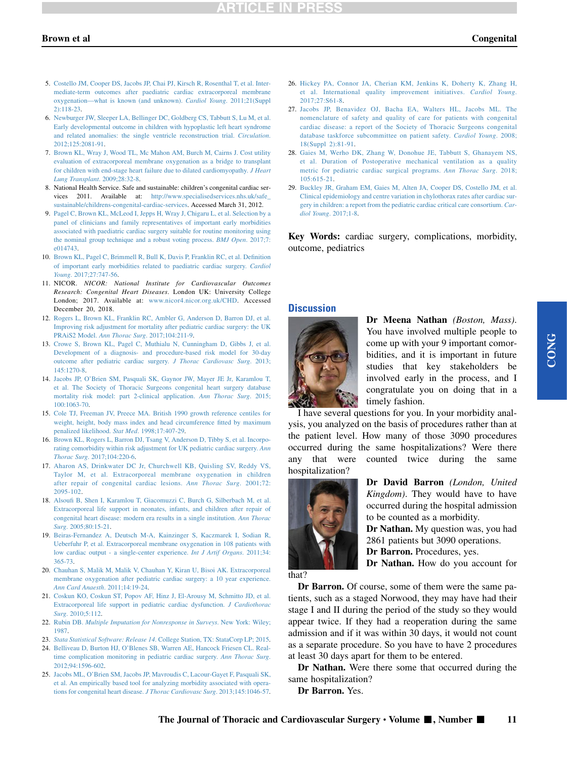# RTICLE IN PRE

- <span id="page-10-0"></span>5. [Costello JM, Cooper DS, Jacobs JP, Chai PJ, Kirsch R, Rosenthal T, et al. Inter](http://refhub.elsevier.com/S0022-5223(19)31166-3/sref5)[mediate-term outcomes after paediatric cardiac extracorporeal membrane](http://refhub.elsevier.com/S0022-5223(19)31166-3/sref5) [oxygenation—what is known \(and unknown\).](http://refhub.elsevier.com/S0022-5223(19)31166-3/sref5) Cardiol Young. 2011;21(Suppl [2\):118-23](http://refhub.elsevier.com/S0022-5223(19)31166-3/sref5).
- 6. [Newburger JW, Sleeper LA, Bellinger DC, Goldberg CS, Tabbutt S, Lu M, et al.](http://refhub.elsevier.com/S0022-5223(19)31166-3/YMTC14584_sref6) [Early developmental outcome in children with hypoplastic left heart syndrome](http://refhub.elsevier.com/S0022-5223(19)31166-3/YMTC14584_sref6) [and related anomalies: the single ventricle reconstruction trial.](http://refhub.elsevier.com/S0022-5223(19)31166-3/YMTC14584_sref6) Circulation. [2012;125:2081-91](http://refhub.elsevier.com/S0022-5223(19)31166-3/YMTC14584_sref6).
- 7. [Brown KL, Wray J, Wood TL, Mc Mahon AM, Burch M, Cairns J. Cost utility](http://refhub.elsevier.com/S0022-5223(19)31166-3/YMTC14584_sref7) [evaluation of extracorporeal membrane oxygenation as a bridge to transplant](http://refhub.elsevier.com/S0022-5223(19)31166-3/YMTC14584_sref7) [for children with end-stage heart failure due to dilated cardiomyopathy.](http://refhub.elsevier.com/S0022-5223(19)31166-3/YMTC14584_sref7) J Heart [Lung Transplant](http://refhub.elsevier.com/S0022-5223(19)31166-3/YMTC14584_sref7). 2009;28:32-8.
- 8. National Health Service. Safe and sustainable: children's congenital cardiac services 2011. Available at: [http://www.specialisedservices.nhs.uk/safe\\_](http://www.specialisedservices.nhs.uk/safe_sustainable/childrens-congenital-cardiac-services) [sustainable/childrens-congenital-cardiac-services](http://www.specialisedservices.nhs.uk/safe_sustainable/childrens-congenital-cardiac-services). Accessed March 31, 2012.
- 9. [Pagel C, Brown KL, McLeod I, Jepps H, Wray J, Chigaru L, et al. Selection by a](http://refhub.elsevier.com/S0022-5223(19)31166-3/YMTC14584_sref9) [panel of clinicians and family representatives of important early morbidities](http://refhub.elsevier.com/S0022-5223(19)31166-3/YMTC14584_sref9) [associated with paediatric cardiac surgery suitable for routine monitoring using](http://refhub.elsevier.com/S0022-5223(19)31166-3/YMTC14584_sref9) [the nominal group technique and a robust voting process.](http://refhub.elsevier.com/S0022-5223(19)31166-3/YMTC14584_sref9) BMJ Open. 2017;7: [e014743.](http://refhub.elsevier.com/S0022-5223(19)31166-3/YMTC14584_sref9)
- 10. [Brown KL, Pagel C, Brimmell R, Bull K, Davis P, Franklin RC, et al. Definition](http://refhub.elsevier.com/S0022-5223(19)31166-3/YMTC14584_sref10) [of important early morbidities related to paediatric cardiac surgery.](http://refhub.elsevier.com/S0022-5223(19)31166-3/YMTC14584_sref10) Cardiol Young[. 2017;27:747-56](http://refhub.elsevier.com/S0022-5223(19)31166-3/YMTC14584_sref10).
- 11. NICOR. NICOR: National Institute for Cardiovascular Outcomes Research: Congenital Heart Diseases. London UK: University College London; 2017. Available at: [www.nicor4.nicor.org.uk/CHD.](http://www.nicor4.nicor.org.uk/CHD) Accessed December 20, 2018.
- 12. [Rogers L, Brown KL, Franklin RC, Ambler G, Anderson D, Barron DJ, et al.](http://refhub.elsevier.com/S0022-5223(19)31166-3/YMTC14584_sref12) [Improving risk adjustment for mortality after pediatric cardiac surgery: the UK](http://refhub.elsevier.com/S0022-5223(19)31166-3/YMTC14584_sref12) PRAiS2 Model. [Ann Thorac Surg](http://refhub.elsevier.com/S0022-5223(19)31166-3/YMTC14584_sref12). 2017;104:211-9.
- 13. [Crowe S, Brown KL, Pagel C, Muthialu N, Cunningham D, Gibbs J, et al.](http://refhub.elsevier.com/S0022-5223(19)31166-3/YMTC14584_sref11) [Development of a diagnosis- and procedure-based risk model for 30-day](http://refhub.elsevier.com/S0022-5223(19)31166-3/YMTC14584_sref11) [outcome after pediatric cardiac surgery.](http://refhub.elsevier.com/S0022-5223(19)31166-3/YMTC14584_sref11) J Thorac Cardiovasc Surg. 2013; [145:1270-8.](http://refhub.elsevier.com/S0022-5223(19)31166-3/YMTC14584_sref11)
- 14. [Jacobs JP, O'Brien SM, Pasquali SK, Gaynor JW, Mayer JE Jr, Karamlou T,](http://refhub.elsevier.com/S0022-5223(19)31166-3/YMTC14584_sref14) [et al. The Society of Thoracic Surgeons congenital heart surgery database](http://refhub.elsevier.com/S0022-5223(19)31166-3/YMTC14584_sref14) [mortality risk model: part 2-clinical application.](http://refhub.elsevier.com/S0022-5223(19)31166-3/YMTC14584_sref14) Ann Thorac Surg. 2015; [100:1063-70](http://refhub.elsevier.com/S0022-5223(19)31166-3/YMTC14584_sref14).
- 15. [Cole TJ, Freeman JV, Preece MA. British 1990 growth reference centiles for](http://refhub.elsevier.com/S0022-5223(19)31166-3/YMTC14584_sref15) [weight, height, body mass index and head circumference fitted by maximum](http://refhub.elsevier.com/S0022-5223(19)31166-3/YMTC14584_sref15) [penalized likelihood.](http://refhub.elsevier.com/S0022-5223(19)31166-3/YMTC14584_sref15) Stat Med. 1998;17:407-29.
- 16. [Brown KL, Rogers L, Barron DJ, Tsang V, Anderson D, Tibby S, et al. Incorpo](http://refhub.elsevier.com/S0022-5223(19)31166-3/YMTC14584_sref17)[rating comorbidity within risk adjustment for UK pediatric cardiac surgery.](http://refhub.elsevier.com/S0022-5223(19)31166-3/YMTC14584_sref17) Ann Thorac Surg[. 2017;104:220-6.](http://refhub.elsevier.com/S0022-5223(19)31166-3/YMTC14584_sref17)
- 17. [Aharon AS, Drinkwater DC Jr, Churchwell KB, Quisling SV, Reddy VS,](http://refhub.elsevier.com/S0022-5223(19)31166-3/YMTC14584_sref16) [Taylor M, et al. Extracorporeal membrane oxygenation in children](http://refhub.elsevier.com/S0022-5223(19)31166-3/YMTC14584_sref16) [after repair of congenital cardiac lesions.](http://refhub.elsevier.com/S0022-5223(19)31166-3/YMTC14584_sref16) Ann Thorac Surg. 2001;72: [2095-102.](http://refhub.elsevier.com/S0022-5223(19)31166-3/YMTC14584_sref16)
- 18. [Alsoufi B, Shen I, Karamlou T, Giacomuzzi C, Burch G, Silberbach M, et al.](http://refhub.elsevier.com/S0022-5223(19)31166-3/YMTC14584_sref18) [Extracorporeal life support in neonates, infants, and children after repair of](http://refhub.elsevier.com/S0022-5223(19)31166-3/YMTC14584_sref18) [congenital heart disease: modern era results in a single institution.](http://refhub.elsevier.com/S0022-5223(19)31166-3/YMTC14584_sref18) Ann Thorac Surg[. 2005;80:15-21](http://refhub.elsevier.com/S0022-5223(19)31166-3/YMTC14584_sref18).
- 19. [Beiras-Fernandez A, Deutsch M-A, Kainzinger S, Kaczmarek I, Sodian R,](http://refhub.elsevier.com/S0022-5223(19)31166-3/YMTC14584_sref19) [Ueberfuhr P, et al. Extracorporeal membrane oxygenation in 108 patients with](http://refhub.elsevier.com/S0022-5223(19)31166-3/YMTC14584_sref19) [low cardiac output - a single-center experience.](http://refhub.elsevier.com/S0022-5223(19)31166-3/YMTC14584_sref19) Int J Artif Organs. 2011;34: [365-73](http://refhub.elsevier.com/S0022-5223(19)31166-3/YMTC14584_sref19).
- 20. [Chauhan S, Malik M, Malik V, Chauhan Y, Kiran U, Bisoi AK. Extracorporeal](http://refhub.elsevier.com/S0022-5223(19)31166-3/YMTC14584_sref20) [membrane oxygenation after pediatric cardiac surgery: a 10 year experience.](http://refhub.elsevier.com/S0022-5223(19)31166-3/YMTC14584_sref20) [Ann Card Anaesth](http://refhub.elsevier.com/S0022-5223(19)31166-3/YMTC14584_sref20). 2011;14:19-24.
- 21. [Coskun KO, Coskun ST, Popov AF, Hinz J, El-Arousy M, Schmitto JD, et al.](http://refhub.elsevier.com/S0022-5223(19)31166-3/YMTC14584_sref21) [Extracorporeal life support in pediatric cardiac dysfunction.](http://refhub.elsevier.com/S0022-5223(19)31166-3/YMTC14584_sref21) J Cardiothorac Surg[. 2010;5:112](http://refhub.elsevier.com/S0022-5223(19)31166-3/YMTC14584_sref21).
- 22. Rubin DB. [Multiple Imputation for Nonresponse in Surveys](http://refhub.elsevier.com/S0022-5223(19)31166-3/YMTC14584_sref22). New York: Wiley; [1987.](http://refhub.elsevier.com/S0022-5223(19)31166-3/YMTC14584_sref22)
- 23. Stata Statistical Software: Release 14[. College Station, TX: StataCorp LP; 2015.](http://refhub.elsevier.com/S0022-5223(19)31166-3/YMTC14584_sref23)
- 24. [Belliveau D, Burton HJ, O'Blenes SB, Warren AE, Hancock Friesen CL. Real](http://refhub.elsevier.com/S0022-5223(19)31166-3/YMTC14584_sref24)[time complication monitoring in pediatric cardiac surgery.](http://refhub.elsevier.com/S0022-5223(19)31166-3/YMTC14584_sref24) Ann Thorac Surg. [2012;94:1596-602](http://refhub.elsevier.com/S0022-5223(19)31166-3/YMTC14584_sref24).
- 25. [Jacobs ML, O'Brien SM, Jacobs JP, Mavroudis C, Lacour-Gayet F, Pasquali SK,](http://refhub.elsevier.com/S0022-5223(19)31166-3/sref25) [et al. An empirically based tool for analyzing morbidity associated with opera](http://refhub.elsevier.com/S0022-5223(19)31166-3/sref25)[tions for congenital heart disease.](http://refhub.elsevier.com/S0022-5223(19)31166-3/sref25) J Thorac Cardiovasc Surg. 2013;145:1046-57.
- 26. [Hickey PA, Connor JA, Cherian KM, Jenkins K, Doherty K, Zhang H,](http://refhub.elsevier.com/S0022-5223(19)31166-3/YMTC14584_sref26) [et al. International quality improvement initiatives.](http://refhub.elsevier.com/S0022-5223(19)31166-3/YMTC14584_sref26) Cardiol Young. [2017;27:S61-8](http://refhub.elsevier.com/S0022-5223(19)31166-3/YMTC14584_sref26).
- 27. [Jacobs JP, Benavidez OJ, Bacha EA, Walters HL, Jacobs ML. The](http://refhub.elsevier.com/S0022-5223(19)31166-3/YMTC14584_sref27) [nomenclature of safety and quality of](http://refhub.elsevier.com/S0022-5223(19)31166-3/YMTC14584_sref27) care for patients with congenital [cardiac disease: a report of the Society of Thoracic Surgeons congenital](http://refhub.elsevier.com/S0022-5223(19)31166-3/YMTC14584_sref27) [database taskforce subcommittee on patient safety.](http://refhub.elsevier.com/S0022-5223(19)31166-3/YMTC14584_sref27) Cardiol Young. 2008; [18\(Suppl 2\):81-91](http://refhub.elsevier.com/S0022-5223(19)31166-3/YMTC14584_sref27).
- 28. [Gaies M, Werho DK, Zhang W, Donohue JE, Tabbutt S, Ghanayem NS,](http://refhub.elsevier.com/S0022-5223(19)31166-3/YMTC14584_sref28) [et al. Duration of Postoperative mechanical ventilation as a quality](http://refhub.elsevier.com/S0022-5223(19)31166-3/YMTC14584_sref28) [metric for pediatric cardiac surgical programs.](http://refhub.elsevier.com/S0022-5223(19)31166-3/YMTC14584_sref28) Ann Thorac Surg. 2018; [105:615-21.](http://refhub.elsevier.com/S0022-5223(19)31166-3/YMTC14584_sref28)
- 29. [Buckley JR, Graham EM, Gaies M, Alten JA, Cooper DS, Costello JM, et al.](http://refhub.elsevier.com/S0022-5223(19)31166-3/YMTC14584_sref29) [Clinical epidemiology and centre variation in chylothorax rates after cardiac sur](http://refhub.elsevier.com/S0022-5223(19)31166-3/YMTC14584_sref29)[gery in children: a report from the pediatric cardiac critical care consortium.](http://refhub.elsevier.com/S0022-5223(19)31166-3/YMTC14584_sref29) Car[diol Young](http://refhub.elsevier.com/S0022-5223(19)31166-3/YMTC14584_sref29). 2017;1-8.

Key Words: cardiac surgery, complications, morbidity, outcome, pediatrics

### **Discussion**



Dr Meena Nathan (Boston, Mass). You have involved multiple people to come up with your 9 important comorbidities, and it is important in future studies that key stakeholders be involved early in the process, and I congratulate you on doing that in a timely fashion.

I have several questions for you. In your morbidity analysis, you analyzed on the basis of procedures rather than at the patient level. How many of those 3090 procedures occurred during the same hospitalizations? Were there any that were counted twice during the same hospitalization?



Dr David Barron (London, United Kingdom). They would have to have occurred during the hospital admission to be counted as a morbidity.

Dr Nathan. My question was, you had 2861 patients but 3090 operations.

Dr Barron. Procedures, yes.

Dr Nathan. How do you account for

Dr Barron. Of course, some of them were the same patients, such as a staged Norwood, they may have had their stage I and II during the period of the study so they would appear twice. If they had a reoperation during the same admission and if it was within 30 days, it would not count as a separate procedure. So you have to have 2 procedures at least 30 days apart for them to be entered.

Dr Nathan. Were there some that occurred during the same hospitalization?

Dr Barron. Yes.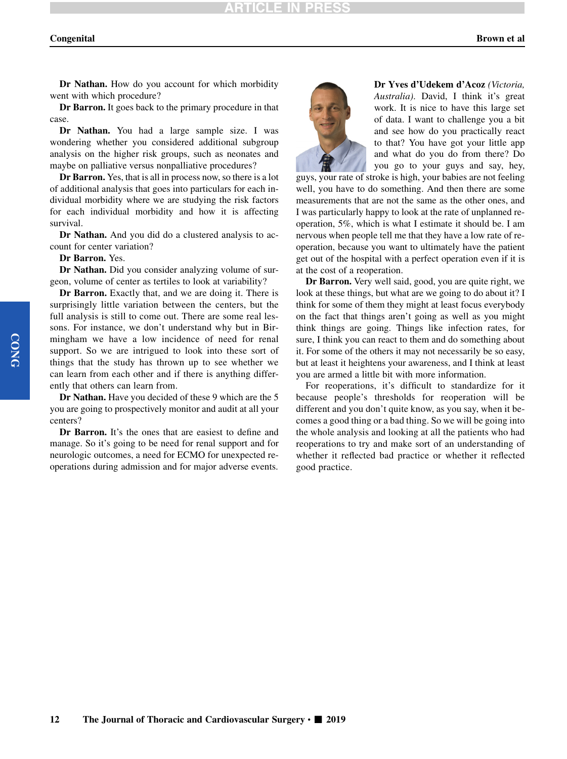ICLE IN

Dr Nathan. How do you account for which morbidity went with which procedure?

Dr Barron. It goes back to the primary procedure in that case.

Dr Nathan. You had a large sample size. I was wondering whether you considered additional subgroup analysis on the higher risk groups, such as neonates and maybe on palliative versus nonpalliative procedures?

Dr Barron. Yes, that is all in process now, so there is a lot of additional analysis that goes into particulars for each individual morbidity where we are studying the risk factors for each individual morbidity and how it is affecting survival.

Dr Nathan. And you did do a clustered analysis to account for center variation?

### Dr Barron. Yes.

Dr Nathan. Did you consider analyzing volume of surgeon, volume of center as tertiles to look at variability?

Dr Barron. Exactly that, and we are doing it. There is surprisingly little variation between the centers, but the full analysis is still to come out. There are some real lessons. For instance, we don't understand why but in Birmingham we have a low incidence of need for renal support. So we are intrigued to look into these sort of things that the study has thrown up to see whether we can learn from each other and if there is anything differently that others can learn from.

Dr Nathan. Have you decided of these 9 which are the 5 you are going to prospectively monitor and audit at all your centers?

Dr Barron. It's the ones that are easiest to define and manage. So it's going to be need for renal support and for neurologic outcomes, a need for ECMO for unexpected reoperations during admission and for major adverse events.



Dr Yves d'Udekem d'Acoz (Victoria, Australia). David, I think it's great work. It is nice to have this large set of data. I want to challenge you a bit and see how do you practically react to that? You have got your little app and what do you do from there? Do you go to your guys and say, hey,

guys, your rate of stroke is high, your babies are not feeling well, you have to do something. And then there are some measurements that are not the same as the other ones, and I was particularly happy to look at the rate of unplanned reoperation, 5%, which is what I estimate it should be. I am nervous when people tell me that they have a low rate of reoperation, because you want to ultimately have the patient get out of the hospital with a perfect operation even if it is at the cost of a reoperation.

Dr Barron. Very well said, good, you are quite right, we look at these things, but what are we going to do about it? I think for some of them they might at least focus everybody on the fact that things aren't going as well as you might think things are going. Things like infection rates, for sure, I think you can react to them and do something about it. For some of the others it may not necessarily be so easy, but at least it heightens your awareness, and I think at least you are armed a little bit with more information.

For reoperations, it's difficult to standardize for it because people's thresholds for reoperation will be different and you don't quite know, as you say, when it becomes a good thing or a bad thing. So we will be going into the whole analysis and looking at all the patients who had reoperations to try and make sort of an understanding of whether it reflected bad practice or whether it reflected good practice.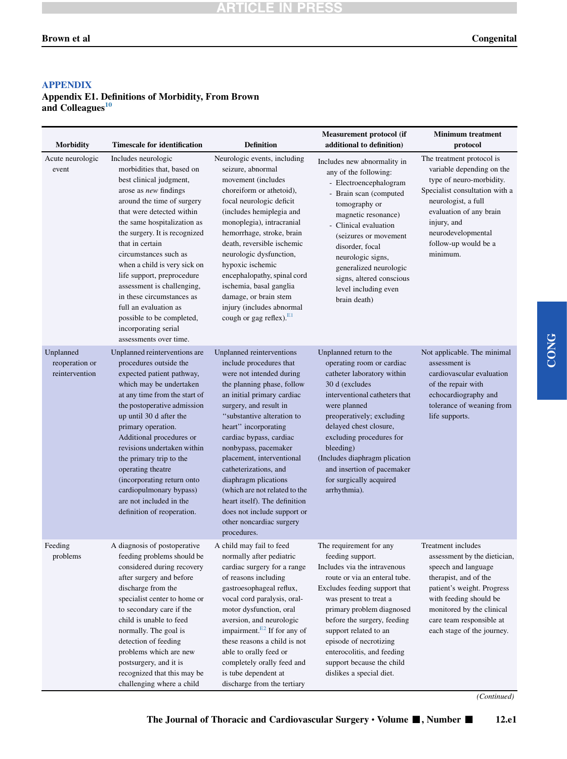# <span id="page-12-0"></span>APPENDIX

# Appendix E1. Definitions of Morbidity, From Brown and Colleagues<sup>[10](#page-10-0)</sup>

| <b>Morbidity</b>                              | <b>Timescale for identification</b>                                                                                                                                                                                                                                                                                                                                                                                                                                                                           | <b>Definition</b>                                                                                                                                                                                                                                                                                                                                                                                                                                                                                         | Measurement protocol (if<br>additional to definition)                                                                                                                                                                                                                                                                                                                         | <b>Minimum treatment</b><br>protocol                                                                                                                                                                                                              |
|-----------------------------------------------|---------------------------------------------------------------------------------------------------------------------------------------------------------------------------------------------------------------------------------------------------------------------------------------------------------------------------------------------------------------------------------------------------------------------------------------------------------------------------------------------------------------|-----------------------------------------------------------------------------------------------------------------------------------------------------------------------------------------------------------------------------------------------------------------------------------------------------------------------------------------------------------------------------------------------------------------------------------------------------------------------------------------------------------|-------------------------------------------------------------------------------------------------------------------------------------------------------------------------------------------------------------------------------------------------------------------------------------------------------------------------------------------------------------------------------|---------------------------------------------------------------------------------------------------------------------------------------------------------------------------------------------------------------------------------------------------|
| Acute neurologic<br>event                     | Includes neurologic<br>morbidities that, based on<br>best clinical judgment,<br>arose as new findings<br>around the time of surgery<br>that were detected within<br>the same hospitalization as<br>the surgery. It is recognized<br>that in certain<br>circumstances such as<br>when a child is very sick on<br>life support, preprocedure<br>assessment is challenging,<br>in these circumstances as<br>full an evaluation as<br>possible to be completed,<br>incorporating serial<br>assessments over time. | Neurologic events, including<br>seizure, abnormal<br>movement (includes<br>choreiform or athetoid),<br>focal neurologic deficit<br>(includes hemiplegia and<br>monoplegia), intracranial<br>hemorrhage, stroke, brain<br>death, reversible ischemic<br>neurologic dysfunction,<br>hypoxic ischemic<br>encephalopathy, spinal cord<br>ischemia, basal ganglia<br>damage, or brain stem<br>injury (includes abnormal<br>cough or gag reflex). $E1$                                                          | Includes new abnormality in<br>any of the following:<br>- Electroencephalogram<br>- Brain scan (computed<br>tomography or<br>magnetic resonance)<br>- Clinical evaluation<br>(seizures or movement<br>disorder, focal<br>neurologic signs,<br>generalized neurologic<br>signs, altered conscious<br>level including even<br>brain death)                                      | The treatment protocol is<br>variable depending on the<br>type of neuro-morbidity.<br>Specialist consultation with a<br>neurologist, a full<br>evaluation of any brain<br>injury, and<br>neurodevelopmental<br>follow-up would be a<br>minimum.   |
| Unplanned<br>reoperation or<br>reintervention | Unplanned reinterventions are<br>procedures outside the<br>expected patient pathway,<br>which may be undertaken<br>at any time from the start of<br>the postoperative admission<br>up until 30 d after the<br>primary operation.<br>Additional procedures or<br>revisions undertaken within<br>the primary trip to the<br>operating theatre<br>(incorporating return onto<br>cardiopulmonary bypass)<br>are not included in the<br>definition of reoperation.                                                 | Unplanned reinterventions<br>include procedures that<br>were not intended during<br>the planning phase, follow<br>an initial primary cardiac<br>surgery, and result in<br>"substantive alteration to<br>heart" incorporating<br>cardiac bypass, cardiac<br>nonbypass, pacemaker<br>placement, interventional<br>catheterizations, and<br>diaphragm plications<br>(which are not related to the<br>heart itself). The definition<br>does not include support or<br>other noncardiac surgery<br>procedures. | Unplanned return to the<br>operating room or cardiac<br>catheter laboratory within<br>30 d (excludes)<br>interventional catheters that<br>were planned<br>preoperatively; excluding<br>delayed chest closure,<br>excluding procedures for<br>bleeding)<br>(Includes diaphragm plication<br>and insertion of pacemaker<br>for surgically acquired<br>arrhythmia).              | Not applicable. The minimal<br>assessment is<br>cardiovascular evaluation<br>of the repair with<br>echocardiography and<br>tolerance of weaning from<br>life supports.                                                                            |
| Feeding<br>problems                           | A diagnosis of postoperative<br>feeding problems should be<br>considered during recovery<br>after surgery and before<br>discharge from the<br>specialist center to home or<br>to secondary care if the<br>child is unable to feed<br>normally. The goal is<br>detection of feeding<br>problems which are new<br>postsurgery, and it is<br>recognized that this may be<br>challenging where a child                                                                                                            | A child may fail to feed<br>normally after pediatric<br>cardiac surgery for a range<br>of reasons including<br>gastroesophageal reflux,<br>vocal cord paralysis, oral-<br>motor dysfunction, oral<br>aversion, and neurologic<br>impairment. $E^2$ If for any of<br>these reasons a child is not<br>able to orally feed or<br>completely orally feed and<br>is tube dependent at<br>discharge from the tertiary                                                                                           | The requirement for any<br>feeding support.<br>Includes via the intravenous<br>route or via an enteral tube.<br>Excludes feeding support that<br>was present to treat a<br>primary problem diagnosed<br>before the surgery, feeding<br>support related to an<br>episode of necrotizing<br>enterocolitis, and feeding<br>support because the child<br>dislikes a special diet. | Treatment includes<br>assessment by the dietician,<br>speech and language<br>therapist, and of the<br>patient's weight. Progress<br>with feeding should be<br>monitored by the clinical<br>care team responsible at<br>each stage of the journey. |

(Continued)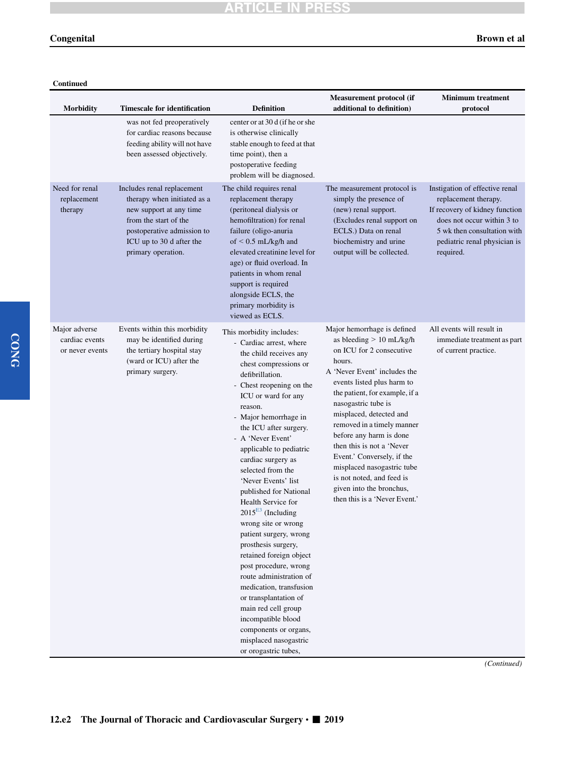# **ARTICLE IN PRESS**

# Continued

| <b>Morbidity</b>                                   | <b>Timescale for identification</b>                                                                                                                                                           | <b>Definition</b>                                                                                                                                                                                                                                                                                                                                                                                                                                                                                                                                                                                                                                                                                                                                                        | Measurement protocol (if<br>additional to definition)                                                                                                                                                                                                                                                                                                                                                                                                                                         | <b>Minimum</b> treatment<br>protocol                                                                                                                                                               |
|----------------------------------------------------|-----------------------------------------------------------------------------------------------------------------------------------------------------------------------------------------------|--------------------------------------------------------------------------------------------------------------------------------------------------------------------------------------------------------------------------------------------------------------------------------------------------------------------------------------------------------------------------------------------------------------------------------------------------------------------------------------------------------------------------------------------------------------------------------------------------------------------------------------------------------------------------------------------------------------------------------------------------------------------------|-----------------------------------------------------------------------------------------------------------------------------------------------------------------------------------------------------------------------------------------------------------------------------------------------------------------------------------------------------------------------------------------------------------------------------------------------------------------------------------------------|----------------------------------------------------------------------------------------------------------------------------------------------------------------------------------------------------|
|                                                    | was not fed preoperatively<br>for cardiac reasons because<br>feeding ability will not have<br>been assessed objectively.                                                                      | center or at 30 d (if he or she<br>is otherwise clinically<br>stable enough to feed at that<br>time point), then a<br>postoperative feeding<br>problem will be diagnosed.                                                                                                                                                                                                                                                                                                                                                                                                                                                                                                                                                                                                |                                                                                                                                                                                                                                                                                                                                                                                                                                                                                               |                                                                                                                                                                                                    |
| Need for renal<br>replacement<br>therapy           | Includes renal replacement<br>therapy when initiated as a<br>new support at any time<br>from the start of the<br>postoperative admission to<br>ICU up to 30 d after the<br>primary operation. | The child requires renal<br>replacement therapy<br>(peritoneal dialysis or<br>hemofiltration) for renal<br>failure (oligo-anuria<br>of $\leq$ 0.5 mL/kg/h and<br>elevated creatinine level for<br>age) or fluid overload. In<br>patients in whom renal<br>support is required<br>alongside ECLS, the<br>primary morbidity is<br>viewed as ECLS.                                                                                                                                                                                                                                                                                                                                                                                                                          | The measurement protocol is<br>simply the presence of<br>(new) renal support.<br>(Excludes renal support on<br>ECLS.) Data on renal<br>biochemistry and urine<br>output will be collected.                                                                                                                                                                                                                                                                                                    | Instigation of effective renal<br>replacement therapy.<br>If recovery of kidney function<br>does not occur within 3 to<br>5 wk then consultation with<br>pediatric renal physician is<br>required. |
| Major adverse<br>cardiac events<br>or never events | Events within this morbidity<br>may be identified during<br>the tertiary hospital stay<br>(ward or ICU) after the<br>primary surgery.                                                         | This morbidity includes:<br>- Cardiac arrest, where<br>the child receives any<br>chest compressions or<br>defibrillation.<br>- Chest reopening on the<br>ICU or ward for any<br>reason.<br>- Major hemorrhage in<br>the ICU after surgery.<br>- A 'Never Event'<br>applicable to pediatric<br>cardiac surgery as<br>selected from the<br>'Never Events' list<br>published for National<br>Health Service for<br>$2015^{E3}$ (Including<br>wrong site or wrong<br>patient surgery, wrong<br>prosthesis surgery,<br>retained foreign object<br>post procedure, wrong<br>route administration of<br>medication, transfusion<br>or transplantation of<br>main red cell group<br>incompatible blood<br>components or organs,<br>misplaced nasogastric<br>or orogastric tubes, | Major hemorrhage is defined<br>as bleeding $> 10$ mL/kg/h<br>on ICU for 2 consecutive<br>hours.<br>A 'Never Event' includes the<br>events listed plus harm to<br>the patient, for example, if a<br>nasogastric tube is<br>misplaced, detected and<br>removed in a timely manner<br>before any harm is done<br>then this is not a 'Never<br>Event.' Conversely, if the<br>misplaced nasogastric tube<br>is not noted, and feed is<br>given into the bronchus,<br>then this is a 'Never Event.' | All events will result in<br>immediate treatment as part<br>of current practice.                                                                                                                   |

(Continued)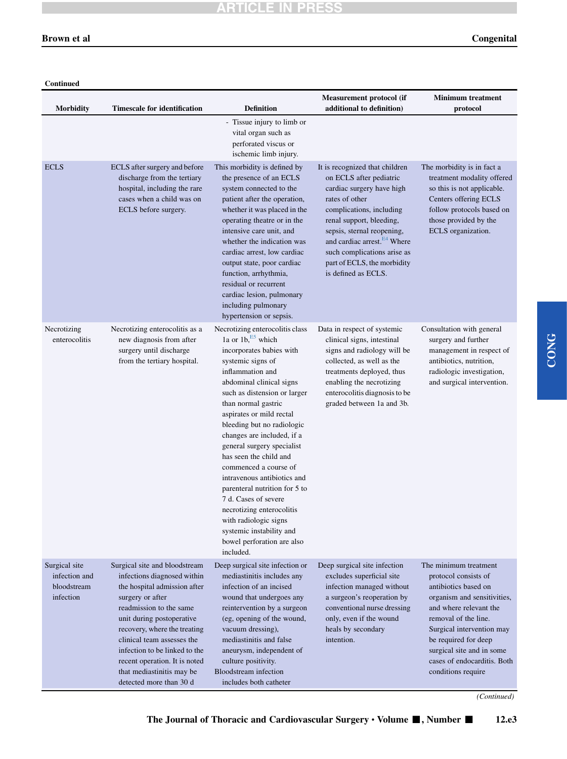# **ARTICLE IN PRESS**

# Brown et al Congenital

| <b>Morbidity</b>                                           | <b>Timescale for identification</b>                                                                                                                                                                                                                                                                                                                              | <b>Definition</b>                                                                                                                                                                                                                                                                                                                                                                                                                                                                                                                                                                                                 | Measurement protocol (if<br>additional to definition)                                                                                                                                                                                                                                                              | <b>Minimum treatment</b><br>protocol                                                                                                                                                                                                                                                          |
|------------------------------------------------------------|------------------------------------------------------------------------------------------------------------------------------------------------------------------------------------------------------------------------------------------------------------------------------------------------------------------------------------------------------------------|-------------------------------------------------------------------------------------------------------------------------------------------------------------------------------------------------------------------------------------------------------------------------------------------------------------------------------------------------------------------------------------------------------------------------------------------------------------------------------------------------------------------------------------------------------------------------------------------------------------------|--------------------------------------------------------------------------------------------------------------------------------------------------------------------------------------------------------------------------------------------------------------------------------------------------------------------|-----------------------------------------------------------------------------------------------------------------------------------------------------------------------------------------------------------------------------------------------------------------------------------------------|
|                                                            |                                                                                                                                                                                                                                                                                                                                                                  | - Tissue injury to limb or<br>vital organ such as<br>perforated viscus or<br>ischemic limb injury.                                                                                                                                                                                                                                                                                                                                                                                                                                                                                                                |                                                                                                                                                                                                                                                                                                                    |                                                                                                                                                                                                                                                                                               |
| <b>ECLS</b>                                                | ECLS after surgery and before<br>discharge from the tertiary<br>hospital, including the rare<br>cases when a child was on<br>ECLS before surgery.                                                                                                                                                                                                                | This morbidity is defined by<br>the presence of an ECLS<br>system connected to the<br>patient after the operation,<br>whether it was placed in the<br>operating theatre or in the<br>intensive care unit, and<br>whether the indication was<br>cardiac arrest, low cardiac<br>output state, poor cardiac<br>function, arrhythmia,<br>residual or recurrent<br>cardiac lesion, pulmonary<br>including pulmonary<br>hypertension or sepsis.                                                                                                                                                                         | It is recognized that children<br>on ECLS after pediatric<br>cardiac surgery have high<br>rates of other<br>complications, including<br>renal support, bleeding,<br>sepsis, sternal reopening,<br>and cardiac arrest E4 Where<br>such complications arise as<br>part of ECLS, the morbidity<br>is defined as ECLS. | The morbidity is in fact a<br>treatment modality offered<br>so this is not applicable.<br>Centers offering ECLS<br>follow protocols based on<br>those provided by the<br>ECLS organization.                                                                                                   |
| Necrotizing<br>enterocolitis                               | Necrotizing enterocolitis as a<br>new diagnosis from after<br>surgery until discharge<br>from the tertiary hospital.                                                                                                                                                                                                                                             | Necrotizing enterocolitis class<br>1a or $1b$ , $E^5$ which<br>incorporates babies with<br>systemic signs of<br>inflammation and<br>abdominal clinical signs<br>such as distension or larger<br>than normal gastric<br>aspirates or mild rectal<br>bleeding but no radiologic<br>changes are included, if a<br>general surgery specialist<br>has seen the child and<br>commenced a course of<br>intravenous antibiotics and<br>parenteral nutrition for 5 to<br>7 d. Cases of severe<br>necrotizing enterocolitis<br>with radiologic signs<br>systemic instability and<br>bowel perforation are also<br>included. | Data in respect of systemic<br>clinical signs, intestinal<br>signs and radiology will be<br>collected, as well as the<br>treatments deployed, thus<br>enabling the necrotizing<br>enterocolitis diagnosis to be<br>graded between 1a and 3b.                                                                       | Consultation with general<br>surgery and further<br>management in respect of<br>antibiotics, nutrition,<br>radiologic investigation,<br>and surgical intervention.                                                                                                                            |
| Surgical site<br>infection and<br>bloodstream<br>infection | Surgical site and bloodstream<br>infections diagnosed within<br>the hospital admission after<br>surgery or after<br>readmission to the same<br>unit during postoperative<br>recovery, where the treating<br>clinical team assesses the<br>infection to be linked to the<br>recent operation. It is noted<br>that mediastinitis may be<br>detected more than 30 d | Deep surgical site infection or<br>mediastinitis includes any<br>infection of an incised<br>wound that undergoes any<br>reintervention by a surgeon<br>(eg, opening of the wound,<br>vacuum dressing),<br>mediastinitis and false<br>aneurysm, independent of<br>culture positivity.<br><b>Bloodstream</b> infection<br>includes both catheter                                                                                                                                                                                                                                                                    | Deep surgical site infection<br>excludes superficial site<br>infection managed without<br>a surgeon's reoperation by<br>conventional nurse dressing<br>only, even if the wound<br>heals by secondary<br>intention.                                                                                                 | The minimum treatment<br>protocol consists of<br>antibiotics based on<br>organism and sensitivities,<br>and where relevant the<br>removal of the line.<br>Surgical intervention may<br>be required for deep<br>surgical site and in some<br>cases of endocarditis. Both<br>conditions require |

(Continued)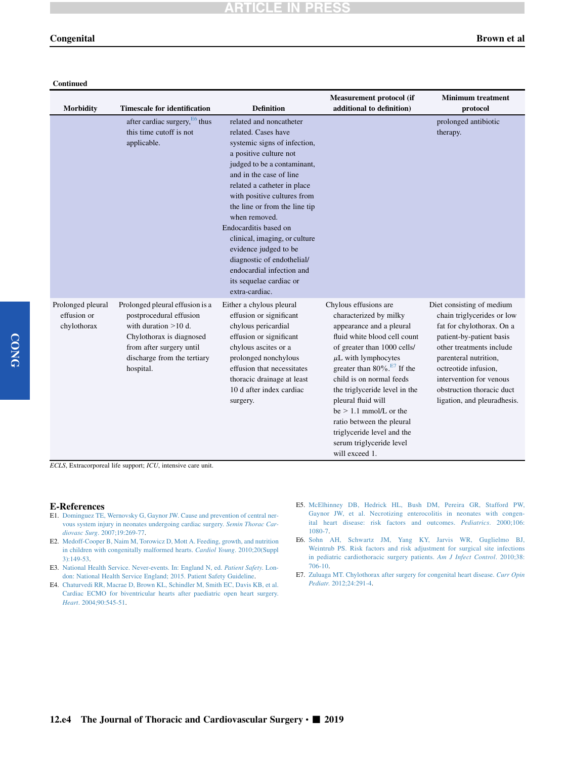#### <span id="page-15-0"></span>**Continued**

| <b>Morbidity</b>                                | <b>Timescale for identification</b>                                                                                                                                                      | <b>Definition</b>                                                                                                                                                                                                                                                                                                                                                                                                                                                             | Measurement protocol (if<br>additional to definition)                                                                                                                                                                                                                                                                                                                                                                                           | <b>Minimum treatment</b><br>protocol                                                                                                                                                                                                                                                 |
|-------------------------------------------------|------------------------------------------------------------------------------------------------------------------------------------------------------------------------------------------|-------------------------------------------------------------------------------------------------------------------------------------------------------------------------------------------------------------------------------------------------------------------------------------------------------------------------------------------------------------------------------------------------------------------------------------------------------------------------------|-------------------------------------------------------------------------------------------------------------------------------------------------------------------------------------------------------------------------------------------------------------------------------------------------------------------------------------------------------------------------------------------------------------------------------------------------|--------------------------------------------------------------------------------------------------------------------------------------------------------------------------------------------------------------------------------------------------------------------------------------|
|                                                 | after cardiac surgery, <sup>E6</sup> thus<br>this time cutoff is not<br>applicable.                                                                                                      | related and noncatheter<br>related. Cases have<br>systemic signs of infection,<br>a positive culture not<br>judged to be a contaminant,<br>and in the case of line<br>related a catheter in place<br>with positive cultures from<br>the line or from the line tip<br>when removed.<br>Endocarditis based on<br>clinical, imaging, or culture<br>evidence judged to be<br>diagnostic of endothelial/<br>endocardial infection and<br>its sequelae cardiac or<br>extra-cardiac. |                                                                                                                                                                                                                                                                                                                                                                                                                                                 | prolonged antibiotic<br>therapy.                                                                                                                                                                                                                                                     |
| Prolonged pleural<br>effusion or<br>chylothorax | Prolonged pleural effusion is a<br>postprocedural effusion<br>with duration $>10$ d.<br>Chylothorax is diagnosed<br>from after surgery until<br>discharge from the tertiary<br>hospital. | Either a chylous pleural<br>effusion or significant<br>chylous pericardial<br>effusion or significant<br>chylous ascites or a<br>prolonged nonchylous<br>effusion that necessitates<br>thoracic drainage at least<br>10 d after index cardiac<br>surgery.                                                                                                                                                                                                                     | Chylous effusions are<br>characterized by milky<br>appearance and a pleural<br>fluid white blood cell count<br>of greater than 1000 cells/<br>$\mu$ L with lymphocytes<br>greater than $80\%$ . <sup>E7</sup> If the<br>child is on normal feeds<br>the triglyceride level in the<br>pleural fluid will<br>$be \geq 1.1$ mmol/L or the<br>ratio between the pleural<br>triglyceride level and the<br>serum triglyceride level<br>will exceed 1. | Diet consisting of medium<br>chain triglycerides or low<br>fat for chylothorax. On a<br>patient-by-patient basis<br>other treatments include<br>parenteral nutrition,<br>octreotide infusion,<br>intervention for venous<br>obstruction thoracic duct<br>ligation, and pleuradhesis. |

ECLS, Extracorporeal life support; ICU, intensive care unit.

#### E-References

- E1. [Dominguez TE, Wernovsky G, Gaynor JW. Cause and prevention of central ner](http://refhub.elsevier.com/S0022-5223(19)31176-6/YMTC14584_sref30)[vous system injury in neonates undergoing cardiac surgery.](http://refhub.elsevier.com/S0022-5223(19)31176-6/YMTC14584_sref30) Semin Thorac Cardiovasc Surg[. 2007;19:269-77](http://refhub.elsevier.com/S0022-5223(19)31176-6/YMTC14584_sref30).
- E2. [Medoff-Cooper B, Naim M, Torowicz D, Mott A. Feeding, growth, and nutrition](http://refhub.elsevier.com/S0022-5223(19)31176-6/YMTC14584_sref31) [in children with congenitally malformed hearts.](http://refhub.elsevier.com/S0022-5223(19)31176-6/YMTC14584_sref31) Cardiol Young. 2010;20(Suppl [3\):149-53](http://refhub.elsevier.com/S0022-5223(19)31176-6/YMTC14584_sref31).
- E3. [National Health Service. Never-events. In: England N, ed.](http://refhub.elsevier.com/S0022-5223(19)31176-6/YMTC14584_sref32) Patient Safety. Lon[don: National Health Service England; 2015. Patient Safety Guideline](http://refhub.elsevier.com/S0022-5223(19)31176-6/YMTC14584_sref32).
- E4. [Chaturvedi RR, Macrae D, Brown KL, Schindler M, Smith EC, Davis KB, et al.](http://refhub.elsevier.com/S0022-5223(19)31176-6/YMTC14584_sref33) [Cardiac ECMO for biventricular hearts after paediatric open heart surgery.](http://refhub.elsevier.com/S0022-5223(19)31176-6/YMTC14584_sref33) Heart[. 2004;90:545-51](http://refhub.elsevier.com/S0022-5223(19)31176-6/YMTC14584_sref33).
- E5. [McElhinney DB, Hedrick HL, Bush DM, Pereira GR, Stafford PW,](http://refhub.elsevier.com/S0022-5223(19)31176-6/YMTC14584_sref34) [Gaynor JW, et al. Necrotizing enterocolitis in neonates with congen](http://refhub.elsevier.com/S0022-5223(19)31176-6/YMTC14584_sref34)[ital heart disease: risk factors and outcomes.](http://refhub.elsevier.com/S0022-5223(19)31176-6/YMTC14584_sref34) Pediatrics. 2000;106: [1080-7.](http://refhub.elsevier.com/S0022-5223(19)31176-6/YMTC14584_sref34)
- E6. [Sohn AH, Schwartz JM, Yang KY, Jarvis WR, Guglielmo BJ,](http://refhub.elsevier.com/S0022-5223(19)31176-6/YMTC14584_sref35) [Weintrub PS. Risk factors and risk adjustment for surgical site infections](http://refhub.elsevier.com/S0022-5223(19)31176-6/YMTC14584_sref35) [in pediatric cardiothoracic surgery patients.](http://refhub.elsevier.com/S0022-5223(19)31176-6/YMTC14584_sref35) Am J Infect Control. 2010;38: [706-10.](http://refhub.elsevier.com/S0022-5223(19)31176-6/YMTC14584_sref35)
- E7. [Zuluaga MT. Chylothorax after surgery for congenital heart disease.](http://refhub.elsevier.com/S0022-5223(19)31176-6/YMTC14584_sref36) Curr Opin Pediatr[. 2012;24:291-4.](http://refhub.elsevier.com/S0022-5223(19)31176-6/YMTC14584_sref36)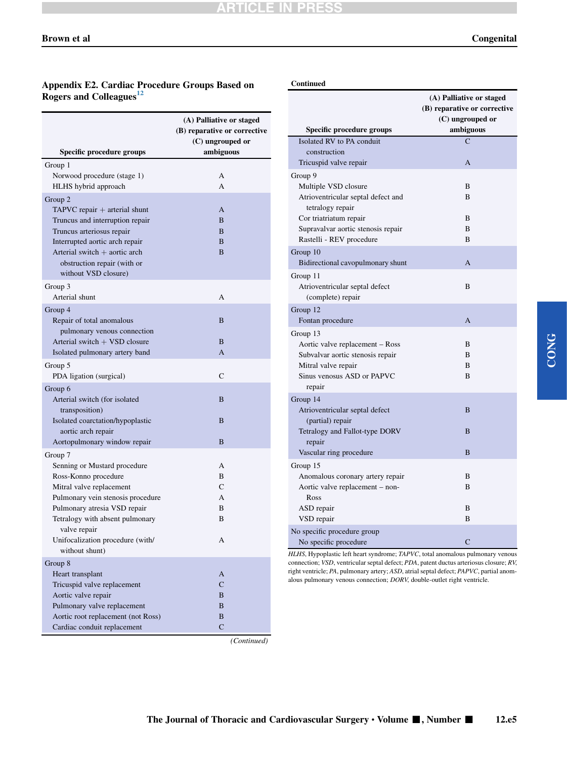# <span id="page-16-0"></span>Appendix E2. Cardiac Procedure Groups Based on Rogers and Colleagues<sup>[12](#page-10-0)</sup>

|                                                                                                                                                                                                                                                                           | (A) Palliative or staged<br>(B) reparative or corrective<br>(C) ungrouped or |
|---------------------------------------------------------------------------------------------------------------------------------------------------------------------------------------------------------------------------------------------------------------------------|------------------------------------------------------------------------------|
| Specific procedure groups                                                                                                                                                                                                                                                 | ambiguous                                                                    |
| Group 1<br>Norwood procedure (stage 1)<br>HLHS hybrid approach                                                                                                                                                                                                            | А<br>A                                                                       |
| Group 2<br>TAPVC repair $+$ arterial shunt<br>Truncus and interruption repair<br>Truncus arteriosus repair<br>Interrupted aortic arch repair<br>Arterial switch $+$ aortic arch<br>obstruction repair (with or<br>without VSD closure)                                    | A<br>$\overline{B}$<br>B<br>B<br>B                                           |
| Group 3<br>Arterial shunt                                                                                                                                                                                                                                                 | A                                                                            |
| Group 4<br>Repair of total anomalous<br>pulmonary venous connection<br>Arterial switch $+$ VSD closure<br>Isolated pulmonary artery band                                                                                                                                  | B<br>B<br>$\mathsf{A}$                                                       |
| Group 5<br>PDA ligation (surgical)                                                                                                                                                                                                                                        | C                                                                            |
| Group 6<br>Arterial switch (for isolated<br>transposition)<br>Isolated coarctation/hypoplastic<br>aortic arch repair<br>Aortopulmonary window repair                                                                                                                      | B<br>B<br>B                                                                  |
| Group 7<br>Senning or Mustard procedure<br>Ross-Konno procedure<br>Mitral valve replacement<br>Pulmonary vein stenosis procedure<br>Pulmonary atresia VSD repair<br>Tetralogy with absent pulmonary<br>valve repair<br>Unifocalization procedure (with/<br>without shunt) | A<br>B<br>C<br>A<br>B<br>B<br>A                                              |
| Group 8<br>Heart transplant<br>Tricuspid valve replacement<br>Aortic valve repair<br>Pulmonary valve replacement<br>Aortic root replacement (not Ross)<br>Cardiac conduit replacement                                                                                     | A<br>C<br><sub>B</sub><br><sub>B</sub><br>B<br>$\overline{C}$<br>(Continued) |

## **Continued**

|                                    | (A) Palliative or staged     |
|------------------------------------|------------------------------|
|                                    | (B) reparative or corrective |
|                                    | (C) ungrouped or             |
| Specific procedure groups          | ambiguous                    |
| Isolated RV to PA conduit          | $\overline{C}$               |
| construction                       |                              |
| Tricuspid valve repair             | A                            |
| Group 9                            |                              |
| Multiple VSD closure               | В                            |
| Atrioventricular septal defect and | B                            |
| tetralogy repair                   |                              |
| Cor triatriatum repair             | B                            |
| Supravalvar aortic stenosis repair | B                            |
| Rastelli - REV procedure           | B                            |
| Group 10                           |                              |
| Bidirectional cavopulmonary shunt  | A                            |
| Group 11                           |                              |
| Atrioventricular septal defect     | B                            |
| (complete) repair                  |                              |
| Group 12                           |                              |
| Fontan procedure                   | $\overline{A}$               |
| Group 13                           |                              |
| Aortic valve replacement – Ross    | B                            |
| Subvalvar aortic stenosis repair   | B                            |
| Mitral valve repair                | B                            |
| Sinus venosus ASD or PAPVC         | B                            |
| repair                             |                              |
| Group 14                           |                              |
| Atrioventricular septal defect     | B                            |
| (partial) repair                   |                              |
| Tetralogy and Fallot-type DORV     | B                            |
| repair                             |                              |
| Vascular ring procedure            | B                            |
| Group 15                           |                              |
| Anomalous coronary artery repair   | B                            |
| Aortic valve replacement - non-    | B                            |
| Ross                               |                              |
| ASD repair                         | В                            |
| VSD repair                         | B                            |
| No specific procedure group        |                              |
| No specific procedure              | C                            |

HLHS, Hypoplastic left heart syndrome; TAPVC, total anomalous pulmonary venous connection; VSD, ventricular septal defect; PDA, patent ductus arteriosus closure; RV, right ventricle; PA, pulmonary artery; ASD, atrial septal defect; PAPVC, partial anomalous pulmonary venous connection; DORV, double-outlet right ventricle.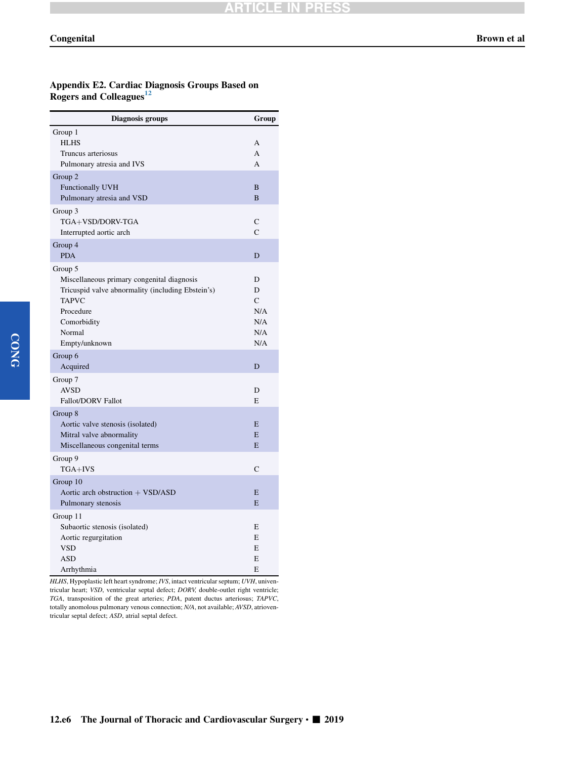# Appendix E2. Cardiac Diagnosis Groups Based on Rogers and Colleagues<sup>[12](#page-10-0)</sup>

| Diagnosis groups                                                                                                                                                                  | Group                                              |
|-----------------------------------------------------------------------------------------------------------------------------------------------------------------------------------|----------------------------------------------------|
| Group 1<br><b>HLHS</b><br>Truncus arteriosus<br>Pulmonary atresia and IVS                                                                                                         | А<br>A<br>A                                        |
| Group 2<br><b>Functionally UVH</b><br>Pulmonary atresia and VSD                                                                                                                   | B<br>$\overline{B}$                                |
| Group 3<br>TGA+VSD/DORV-TGA<br>Interrupted aortic arch                                                                                                                            | C<br>$\mathcal{C}$                                 |
| Group 4<br><b>PDA</b>                                                                                                                                                             | D                                                  |
| Group 5<br>Miscellaneous primary congenital diagnosis<br>Tricuspid valve abnormality (including Ebstein's)<br><b>TAPVC</b><br>Procedure<br>Comorbidity<br>Normal<br>Empty/unknown | D<br>D<br>$\mathsf{C}$<br>N/A<br>N/A<br>N/A<br>N/A |
| Group 6<br>Acquired                                                                                                                                                               | D                                                  |
| Group 7<br><b>AVSD</b><br>Fallot/DORV Fallot                                                                                                                                      | D<br>E                                             |
| Group 8<br>Aortic valve stenosis (isolated)<br>Mitral valve abnormality<br>Miscellaneous congenital terms                                                                         | E<br>E<br>E                                        |
| Group 9<br>TGA+IVS                                                                                                                                                                | C                                                  |
| Group 10<br>Aortic arch obstruction + VSD/ASD<br>Pulmonary stenosis                                                                                                               | E<br>E                                             |
| Group 11<br>Subaortic stenosis (isolated)<br>Aortic regurgitation<br><b>VSD</b><br><b>ASD</b><br>Arrhythmia                                                                       | E<br>E<br>E<br>E<br>E                              |

HLHS, Hypoplastic left heart syndrome; IVS, intact ventricular septum; UVH, univentricular heart; VSD, ventricular septal defect; DORV, double-outlet right ventricle; TGA, transposition of the great arteries; PDA, patent ductus arteriosus; TAPVC, totally anomolous pulmonary venous connection;  $N/A$ , not available; AVSD, atrioventricular septal defect; ASD, atrial septal defect.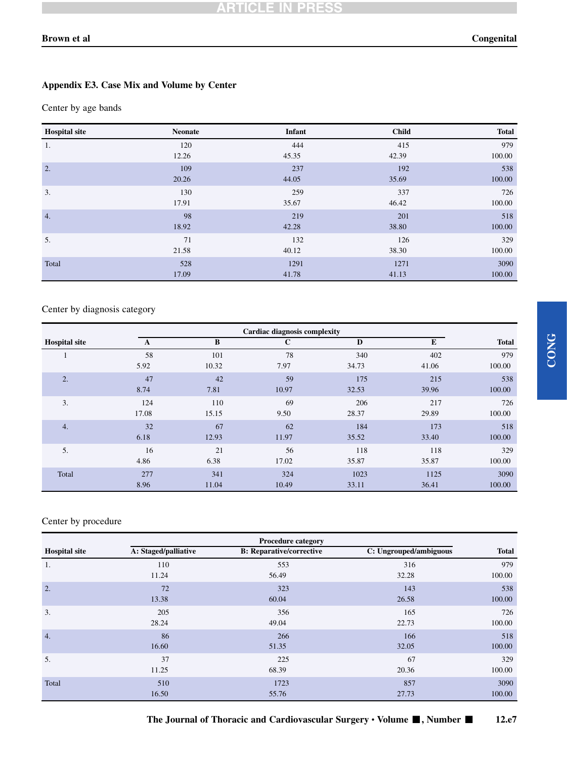# **ARTICLE IN PRESS**

# Appendix E3. Case Mix and Volume by Center

# Center by age bands

| <b>Hospital site</b> | <b>Neonate</b> | Infant | <b>Child</b> | <b>Total</b> |
|----------------------|----------------|--------|--------------|--------------|
| 1.                   | 120            | 444    | 415          | 979          |
|                      | 12.26          | 45.35  | 42.39        | 100.00       |
| 2.                   | 109            | 237    | 192          | 538          |
|                      | 20.26          | 44.05  | 35.69        | 100.00       |
| 3.                   | 130            | 259    | 337          | 726          |
|                      | 17.91          | 35.67  | 46.42        | 100.00       |
| 4.                   | 98             | 219    | 201          | 518          |
|                      | 18.92          | 42.28  | 38.80        | 100.00       |
| 5.                   | 71             | 132    | 126          | 329          |
|                      | 21.58          | 40.12  | 38.30        | 100.00       |
| Total                | 528            | 1291   | 1271         | 3090         |
|                      | 17.09          | 41.78  | 41.13        | 100.00       |

# Center by diagnosis category

|                      |       |       | <b>Cardiac diagnosis complexity</b> |       |       |              |
|----------------------|-------|-------|-------------------------------------|-------|-------|--------------|
| <b>Hospital site</b> | A     | B     | $\mathbf C$                         | D     | E     | <b>Total</b> |
|                      | 58    | 101   | 78                                  | 340   | 402   | 979          |
|                      | 5.92  | 10.32 | 7.97                                | 34.73 | 41.06 | 100.00       |
| 2.                   | 47    | 42    | 59                                  | 175   | 215   | 538          |
|                      | 8.74  | 7.81  | 10.97                               | 32.53 | 39.96 | 100.00       |
| 3.                   | 124   | 110   | 69                                  | 206   | 217   | 726          |
|                      | 17.08 | 15.15 | 9.50                                | 28.37 | 29.89 | 100.00       |
| 4.                   | 32    | 67    | 62                                  | 184   | 173   | 518          |
|                      | 6.18  | 12.93 | 11.97                               | 35.52 | 33.40 | 100.00       |
| 5.                   | 16    | 21    | 56                                  | 118   | 118   | 329          |
|                      | 4.86  | 6.38  | 17.02                               | 35.87 | 35.87 | 100.00       |
| Total                | 277   | 341   | 324                                 | 1023  | 1125  | 3090         |
|                      | 8.96  | 11.04 | 10.49                               | 33.11 | 36.41 | 100.00       |

# Center by procedure

|                      |                      | <b>Procedure category</b>       |                        |              |
|----------------------|----------------------|---------------------------------|------------------------|--------------|
| <b>Hospital site</b> | A: Staged/palliative | <b>B:</b> Reparative/corrective | C: Ungrouped/ambiguous | <b>Total</b> |
| 1.                   | 110                  | 553                             | 316                    | 979          |
|                      | 11.24                | 56.49                           | 32.28                  | 100.00       |
| 2.                   | 72                   | 323                             | 143                    | 538          |
|                      | 13.38                | 60.04                           | 26.58                  | 100.00       |
| 3.                   | 205                  | 356                             | 165                    | 726          |
|                      | 28.24                | 49.04                           | 22.73                  | 100.00       |
| 4.                   | 86                   | 266                             | 166                    | 518          |
|                      | 16.60                | 51.35                           | 32.05                  | 100.00       |
| 5.                   | 37                   | 225                             | 67                     | 329          |
|                      | 11.25                | 68.39                           | 20.36                  | 100.00       |
| Total                | 510                  | 1723                            | 857                    | 3090         |
|                      | 16.50                | 55.76                           | 27.73                  | 100.00       |